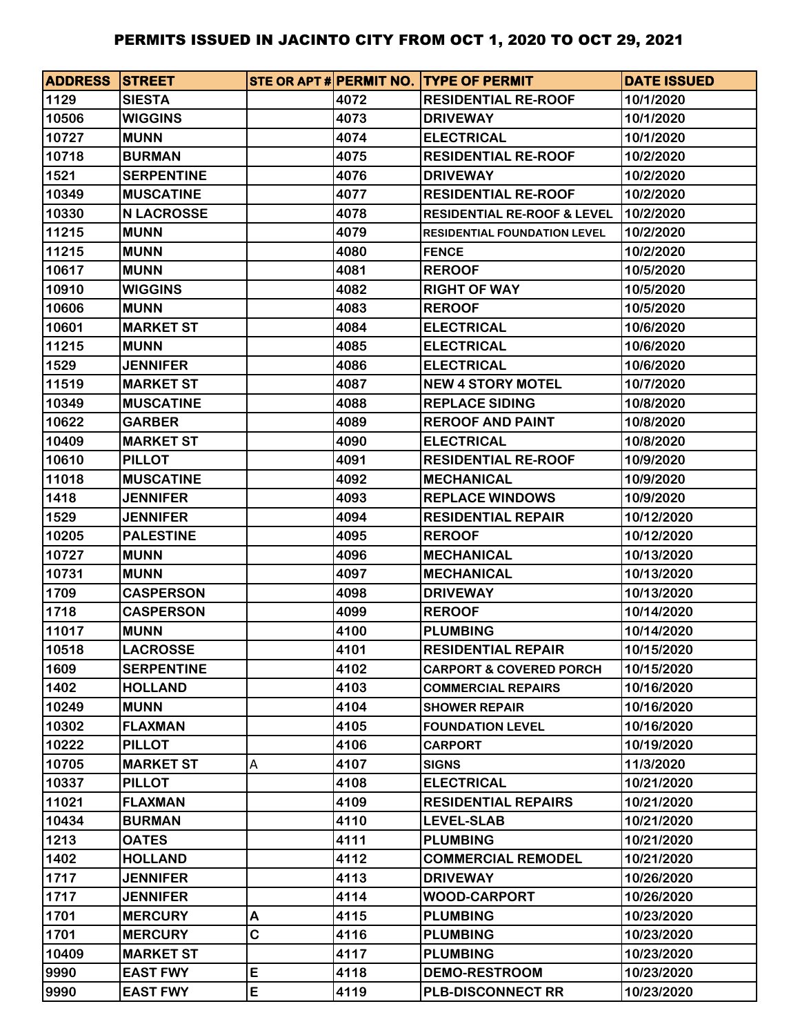| <b>ADDRESS STREET</b> |                   |   |      | STE OR APT # PERMIT NO. TYPE OF PERMIT | <b>DATE ISSUED</b> |
|-----------------------|-------------------|---|------|----------------------------------------|--------------------|
| 1129                  | <b>SIESTA</b>     |   | 4072 | <b>RESIDENTIAL RE-ROOF</b>             | 10/1/2020          |
| 10506                 | <b>WIGGINS</b>    |   | 4073 | <b>DRIVEWAY</b>                        | 10/1/2020          |
| 10727                 | <b>MUNN</b>       |   | 4074 | <b>ELECTRICAL</b>                      | 10/1/2020          |
| 10718                 | <b>BURMAN</b>     |   | 4075 | <b>RESIDENTIAL RE-ROOF</b>             | 10/2/2020          |
| 1521                  | <b>SERPENTINE</b> |   | 4076 | <b>DRIVEWAY</b>                        | 10/2/2020          |
| 10349                 | <b>MUSCATINE</b>  |   | 4077 | <b>RESIDENTIAL RE-ROOF</b>             | 10/2/2020          |
| 10330                 | <b>N LACROSSE</b> |   | 4078 | <b>RESIDENTIAL RE-ROOF &amp; LEVEL</b> | 10/2/2020          |
| 11215                 | <b>MUNN</b>       |   | 4079 | <b>RESIDENTIAL FOUNDATION LEVEL</b>    | 10/2/2020          |
| 11215                 | <b>MUNN</b>       |   | 4080 | <b>FENCE</b>                           | 10/2/2020          |
| 10617                 | <b>MUNN</b>       |   | 4081 | <b>REROOF</b>                          | 10/5/2020          |
| 10910                 | <b>WIGGINS</b>    |   | 4082 | <b>RIGHT OF WAY</b>                    | 10/5/2020          |
| 10606                 | <b>MUNN</b>       |   | 4083 | <b>REROOF</b>                          | 10/5/2020          |
| 10601                 | <b>MARKET ST</b>  |   | 4084 | <b>ELECTRICAL</b>                      | 10/6/2020          |
| 11215                 | <b>MUNN</b>       |   | 4085 | <b>ELECTRICAL</b>                      | 10/6/2020          |
| 1529                  | <b>JENNIFER</b>   |   | 4086 | <b>ELECTRICAL</b>                      | 10/6/2020          |
| 11519                 | <b>MARKET ST</b>  |   | 4087 | <b>NEW 4 STORY MOTEL</b>               | 10/7/2020          |
| 10349                 | <b>MUSCATINE</b>  |   | 4088 | <b>REPLACE SIDING</b>                  | 10/8/2020          |
| 10622                 | <b>GARBER</b>     |   | 4089 | <b>REROOF AND PAINT</b>                | 10/8/2020          |
| 10409                 | <b>MARKET ST</b>  |   | 4090 | <b>ELECTRICAL</b>                      | 10/8/2020          |
| 10610                 | <b>PILLOT</b>     |   | 4091 | <b>RESIDENTIAL RE-ROOF</b>             | 10/9/2020          |
| 11018                 | <b>MUSCATINE</b>  |   | 4092 | <b>MECHANICAL</b>                      | 10/9/2020          |
| 1418                  | <b>JENNIFER</b>   |   | 4093 | <b>REPLACE WINDOWS</b>                 | 10/9/2020          |
| 1529                  | <b>JENNIFER</b>   |   | 4094 | <b>RESIDENTIAL REPAIR</b>              | 10/12/2020         |
| 10205                 | <b>PALESTINE</b>  |   | 4095 | <b>REROOF</b>                          | 10/12/2020         |
| 10727                 | <b>MUNN</b>       |   | 4096 | <b>MECHANICAL</b>                      | 10/13/2020         |
| 10731                 | <b>MUNN</b>       |   | 4097 | <b>MECHANICAL</b>                      | 10/13/2020         |
| 1709                  | <b>CASPERSON</b>  |   | 4098 | <b>DRIVEWAY</b>                        | 10/13/2020         |
| 1718                  | <b>CASPERSON</b>  |   | 4099 | <b>REROOF</b>                          | 10/14/2020         |
| 11017                 | <b>MUNN</b>       |   | 4100 | <b>PLUMBING</b>                        | 10/14/2020         |
| 10518                 | <b>LACROSSE</b>   |   | 4101 | <b>RESIDENTIAL REPAIR</b>              | 10/15/2020         |
| 1609                  | <b>SERPENTINE</b> |   | 4102 | <b>CARPORT &amp; COVERED PORCH</b>     | 10/15/2020         |
| 1402                  | <b>HOLLAND</b>    |   | 4103 | <b>COMMERCIAL REPAIRS</b>              | 10/16/2020         |
| 10249                 | <b>MUNN</b>       |   | 4104 | <b>SHOWER REPAIR</b>                   | 10/16/2020         |
| 10302                 | <b>FLAXMAN</b>    |   | 4105 | <b>FOUNDATION LEVEL</b>                | 10/16/2020         |
| 10222                 | <b>PILLOT</b>     |   | 4106 | <b>CARPORT</b>                         | 10/19/2020         |
| 10705                 | <b>MARKET ST</b>  | Α | 4107 | <b>SIGNS</b>                           | 11/3/2020          |
| 10337                 | <b>PILLOT</b>     |   | 4108 | <b>ELECTRICAL</b>                      | 10/21/2020         |
| 11021                 | <b>FLAXMAN</b>    |   | 4109 | <b>RESIDENTIAL REPAIRS</b>             | 10/21/2020         |
| 10434                 | <b>BURMAN</b>     |   | 4110 | <b>LEVEL-SLAB</b>                      | 10/21/2020         |
| 1213                  | <b>OATES</b>      |   | 4111 | <b>PLUMBING</b>                        | 10/21/2020         |
| 1402                  | <b>HOLLAND</b>    |   | 4112 | <b>COMMERCIAL REMODEL</b>              | 10/21/2020         |
| 1717                  | <b>JENNIFER</b>   |   | 4113 | <b>DRIVEWAY</b>                        | 10/26/2020         |
| 1717                  | <b>JENNIFER</b>   |   | 4114 | <b>WOOD-CARPORT</b>                    | 10/26/2020         |
| 1701                  | <b>MERCURY</b>    | Α | 4115 | <b>PLUMBING</b>                        | 10/23/2020         |
| 1701                  | <b>MERCURY</b>    | C | 4116 | <b>PLUMBING</b>                        | 10/23/2020         |
| 10409                 | <b>MARKET ST</b>  |   | 4117 | <b>PLUMBING</b>                        | 10/23/2020         |
| 9990                  | <b>EAST FWY</b>   | E | 4118 | <b>DEMO-RESTROOM</b>                   | 10/23/2020         |
| 9990                  | <b>EAST FWY</b>   | E | 4119 | <b>PLB-DISCONNECT RR</b>               | 10/23/2020         |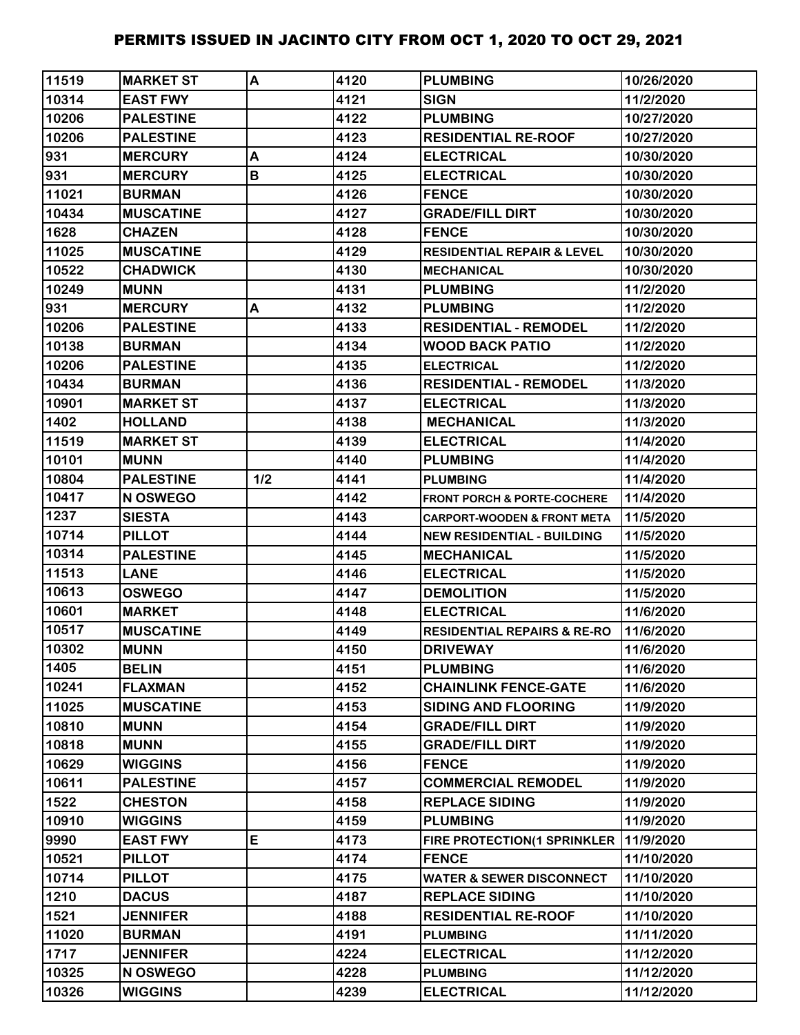| 11519 | <b>MARKET ST</b> | A   | 4120 | <b>PLUMBING</b>                        | 10/26/2020 |
|-------|------------------|-----|------|----------------------------------------|------------|
| 10314 | <b>EAST FWY</b>  |     | 4121 | <b>SIGN</b>                            | 11/2/2020  |
| 10206 | <b>PALESTINE</b> |     | 4122 | <b>PLUMBING</b>                        | 10/27/2020 |
| 10206 | <b>PALESTINE</b> |     | 4123 | <b>RESIDENTIAL RE-ROOF</b>             | 10/27/2020 |
| 931   | <b>MERCURY</b>   | A   | 4124 | <b>ELECTRICAL</b>                      | 10/30/2020 |
| 931   | <b>MERCURY</b>   | B   | 4125 | <b>ELECTRICAL</b>                      | 10/30/2020 |
| 11021 | <b>BURMAN</b>    |     | 4126 | <b>FENCE</b>                           | 10/30/2020 |
| 10434 | <b>MUSCATINE</b> |     | 4127 | <b>GRADE/FILL DIRT</b>                 | 10/30/2020 |
| 1628  | <b>CHAZEN</b>    |     | 4128 | <b>FENCE</b>                           | 10/30/2020 |
| 11025 | <b>MUSCATINE</b> |     | 4129 | <b>RESIDENTIAL REPAIR &amp; LEVEL</b>  | 10/30/2020 |
| 10522 | <b>CHADWICK</b>  |     | 4130 | <b>MECHANICAL</b>                      | 10/30/2020 |
| 10249 | <b>MUNN</b>      |     | 4131 | <b>PLUMBING</b>                        | 11/2/2020  |
| 931   | <b>MERCURY</b>   | A   | 4132 | <b>PLUMBING</b>                        | 11/2/2020  |
| 10206 | <b>PALESTINE</b> |     | 4133 | <b>RESIDENTIAL - REMODEL</b>           | 11/2/2020  |
| 10138 | <b>BURMAN</b>    |     | 4134 | <b>WOOD BACK PATIO</b>                 | 11/2/2020  |
| 10206 | <b>PALESTINE</b> |     | 4135 | <b>ELECTRICAL</b>                      | 11/2/2020  |
| 10434 | <b>BURMAN</b>    |     | 4136 | <b>RESIDENTIAL - REMODEL</b>           | 11/3/2020  |
| 10901 | <b>MARKET ST</b> |     | 4137 | <b>ELECTRICAL</b>                      | 11/3/2020  |
| 1402  | <b>HOLLAND</b>   |     | 4138 | <b>MECHANICAL</b>                      | 11/3/2020  |
| 11519 | <b>MARKET ST</b> |     | 4139 | <b>ELECTRICAL</b>                      | 11/4/2020  |
| 10101 | <b>MUNN</b>      |     | 4140 | <b>PLUMBING</b>                        | 11/4/2020  |
| 10804 | <b>PALESTINE</b> | 1/2 | 4141 | <b>PLUMBING</b>                        | 11/4/2020  |
| 10417 | N OSWEGO         |     | 4142 | <b>FRONT PORCH &amp; PORTE-COCHERE</b> | 11/4/2020  |
| 1237  | <b>SIESTA</b>    |     | 4143 | <b>CARPORT-WOODEN &amp; FRONT META</b> | 11/5/2020  |
| 10714 | <b>PILLOT</b>    |     | 4144 | <b>NEW RESIDENTIAL - BUILDING</b>      | 11/5/2020  |
| 10314 | <b>PALESTINE</b> |     | 4145 | <b>MECHANICAL</b>                      | 11/5/2020  |
| 11513 | <b>LANE</b>      |     | 4146 | <b>ELECTRICAL</b>                      | 11/5/2020  |
| 10613 | <b>OSWEGO</b>    |     | 4147 | <b>DEMOLITION</b>                      | 11/5/2020  |
| 10601 | <b>MARKET</b>    |     | 4148 | <b>ELECTRICAL</b>                      | 11/6/2020  |
| 10517 | <b>MUSCATINE</b> |     | 4149 | <b>RESIDENTIAL REPAIRS &amp; RE-RO</b> | 11/6/2020  |
| 10302 | <b>MUNN</b>      |     | 4150 | <b>DRIVEWAY</b>                        | 11/6/2020  |
| 1405  | <b>BELIN</b>     |     | 4151 | <b>PLUMBING</b>                        | 11/6/2020  |
| 10241 | <b>FLAXMAN</b>   |     | 4152 | <b>CHAINLINK FENCE-GATE</b>            | 11/6/2020  |
| 11025 | <b>MUSCATINE</b> |     | 4153 | <b>SIDING AND FLOORING</b>             | 11/9/2020  |
| 10810 | <b>MUNN</b>      |     | 4154 | <b>GRADE/FILL DIRT</b>                 | 11/9/2020  |
| 10818 | <b>MUNN</b>      |     | 4155 | <b>GRADE/FILL DIRT</b>                 | 11/9/2020  |
| 10629 | <b>WIGGINS</b>   |     | 4156 | <b>FENCE</b>                           | 11/9/2020  |
| 10611 | <b>PALESTINE</b> |     | 4157 | <b>COMMERCIAL REMODEL</b>              | 11/9/2020  |
| 1522  | <b>CHESTON</b>   |     | 4158 | <b>REPLACE SIDING</b>                  | 11/9/2020  |
| 10910 | <b>WIGGINS</b>   |     | 4159 | <b>PLUMBING</b>                        | 11/9/2020  |
| 9990  | <b>EAST FWY</b>  | E   | 4173 | FIRE PROTECTION(1 SPRINKLER            | 11/9/2020  |
| 10521 | <b>PILLOT</b>    |     | 4174 | <b>FENCE</b>                           | 11/10/2020 |
| 10714 | <b>PILLOT</b>    |     | 4175 | <b>WATER &amp; SEWER DISCONNECT</b>    | 11/10/2020 |
| 1210  | <b>DACUS</b>     |     | 4187 | <b>REPLACE SIDING</b>                  | 11/10/2020 |
| 1521  | <b>JENNIFER</b>  |     | 4188 | <b>RESIDENTIAL RE-ROOF</b>             | 11/10/2020 |
| 11020 | <b>BURMAN</b>    |     | 4191 | <b>PLUMBING</b>                        | 11/11/2020 |
| 1717  | <b>JENNIFER</b>  |     | 4224 | <b>ELECTRICAL</b>                      | 11/12/2020 |
| 10325 | N OSWEGO         |     | 4228 | <b>PLUMBING</b>                        | 11/12/2020 |
| 10326 | <b>WIGGINS</b>   |     | 4239 | <b>ELECTRICAL</b>                      | 11/12/2020 |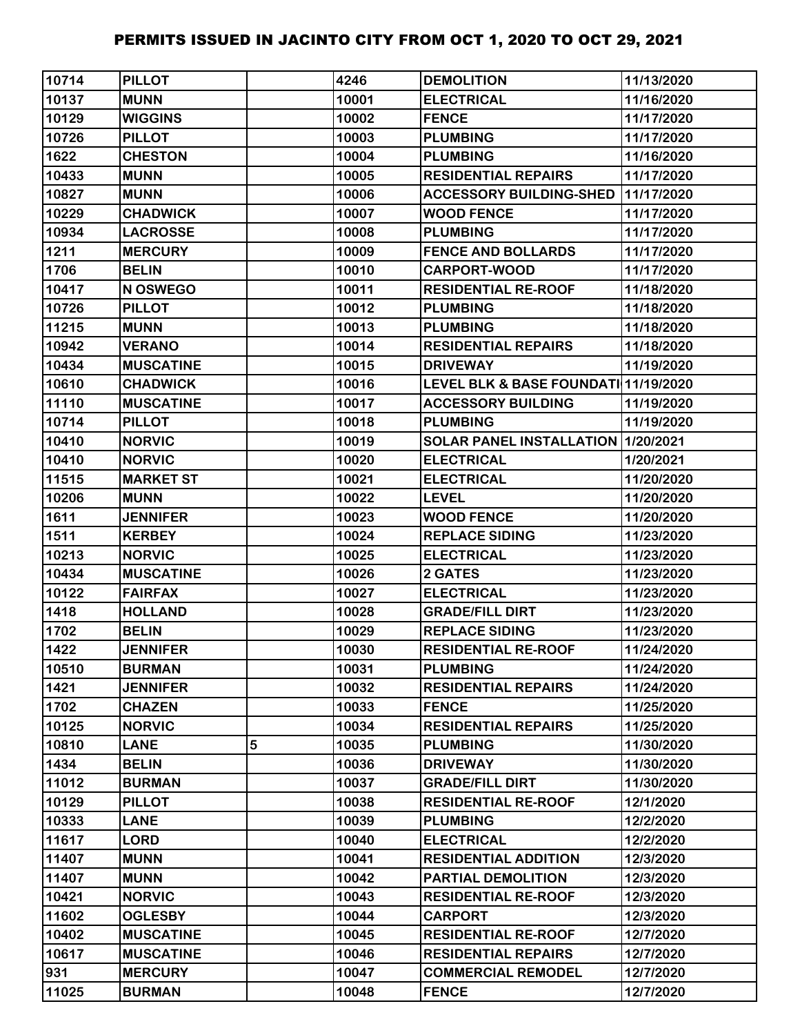| 10714 | <b>PILLOT</b>    |   | 4246  | <b>DEMOLITION</b>                    | 11/13/2020 |
|-------|------------------|---|-------|--------------------------------------|------------|
| 10137 | <b>MUNN</b>      |   | 10001 | <b>ELECTRICAL</b>                    | 11/16/2020 |
| 10129 | <b>WIGGINS</b>   |   | 10002 | <b>FENCE</b>                         | 11/17/2020 |
| 10726 | <b>PILLOT</b>    |   | 10003 | <b>PLUMBING</b>                      | 11/17/2020 |
| 1622  | <b>CHESTON</b>   |   | 10004 | <b>PLUMBING</b>                      | 11/16/2020 |
| 10433 | <b>MUNN</b>      |   | 10005 | <b>RESIDENTIAL REPAIRS</b>           | 11/17/2020 |
| 10827 | <b>MUNN</b>      |   | 10006 | <b>ACCESSORY BUILDING-SHED</b>       | 11/17/2020 |
| 10229 | <b>CHADWICK</b>  |   | 10007 | <b>WOOD FENCE</b>                    | 11/17/2020 |
| 10934 | <b>LACROSSE</b>  |   | 10008 | <b>PLUMBING</b>                      | 11/17/2020 |
| 1211  | <b>MERCURY</b>   |   | 10009 | <b>FENCE AND BOLLARDS</b>            | 11/17/2020 |
| 1706  | <b>BELIN</b>     |   | 10010 | <b>CARPORT-WOOD</b>                  | 11/17/2020 |
| 10417 | N OSWEGO         |   | 10011 | <b>RESIDENTIAL RE-ROOF</b>           | 11/18/2020 |
| 10726 | <b>PILLOT</b>    |   | 10012 | <b>PLUMBING</b>                      | 11/18/2020 |
| 11215 | <b>MUNN</b>      |   | 10013 | <b>PLUMBING</b>                      | 11/18/2020 |
| 10942 | <b>VERANO</b>    |   | 10014 | <b>RESIDENTIAL REPAIRS</b>           | 11/18/2020 |
| 10434 | <b>MUSCATINE</b> |   | 10015 | <b>DRIVEWAY</b>                      | 11/19/2020 |
| 10610 | <b>CHADWICK</b>  |   | 10016 | LEVEL BLK & BASE FOUNDATI 11/19/2020 |            |
| 11110 | <b>MUSCATINE</b> |   | 10017 | <b>ACCESSORY BUILDING</b>            | 11/19/2020 |
| 10714 | <b>PILLOT</b>    |   | 10018 | <b>PLUMBING</b>                      | 11/19/2020 |
| 10410 | <b>NORVIC</b>    |   | 10019 | SOLAR PANEL INSTALLATION   1/20/2021 |            |
| 10410 | <b>NORVIC</b>    |   | 10020 | <b>ELECTRICAL</b>                    | 1/20/2021  |
| 11515 | <b>MARKET ST</b> |   | 10021 | <b>ELECTRICAL</b>                    | 11/20/2020 |
| 10206 | <b>MUNN</b>      |   | 10022 | <b>LEVEL</b>                         | 11/20/2020 |
| 1611  | <b>JENNIFER</b>  |   | 10023 | <b>WOOD FENCE</b>                    | 11/20/2020 |
| 1511  | <b>KERBEY</b>    |   | 10024 | <b>REPLACE SIDING</b>                | 11/23/2020 |
| 10213 | <b>NORVIC</b>    |   | 10025 | <b>ELECTRICAL</b>                    | 11/23/2020 |
| 10434 | <b>MUSCATINE</b> |   | 10026 | 2 GATES                              | 11/23/2020 |
| 10122 | <b>FAIRFAX</b>   |   | 10027 | <b>ELECTRICAL</b>                    | 11/23/2020 |
| 1418  | <b>HOLLAND</b>   |   | 10028 | <b>GRADE/FILL DIRT</b>               | 11/23/2020 |
| 1702  | <b>BELIN</b>     |   | 10029 | <b>REPLACE SIDING</b>                | 11/23/2020 |
| 1422  | <b>JENNIFER</b>  |   | 10030 | <b>RESIDENTIAL RE-ROOF</b>           | 11/24/2020 |
| 10510 | <b>BURMAN</b>    |   | 10031 | <b>PLUMBING</b>                      | 11/24/2020 |
| 1421  | <b>JENNIFER</b>  |   | 10032 | <b>RESIDENTIAL REPAIRS</b>           | 11/24/2020 |
| 1702  | <b>CHAZEN</b>    |   | 10033 | <b>FENCE</b>                         | 11/25/2020 |
| 10125 | <b>NORVIC</b>    |   | 10034 | <b>RESIDENTIAL REPAIRS</b>           | 11/25/2020 |
| 10810 | <b>LANE</b>      | 5 | 10035 | <b>PLUMBING</b>                      | 11/30/2020 |
| 1434  | <b>BELIN</b>     |   | 10036 | <b>DRIVEWAY</b>                      | 11/30/2020 |
| 11012 | <b>BURMAN</b>    |   | 10037 | <b>GRADE/FILL DIRT</b>               | 11/30/2020 |
| 10129 | <b>PILLOT</b>    |   | 10038 | <b>RESIDENTIAL RE-ROOF</b>           | 12/1/2020  |
| 10333 | <b>LANE</b>      |   | 10039 | <b>PLUMBING</b>                      | 12/2/2020  |
| 11617 | <b>LORD</b>      |   | 10040 | <b>ELECTRICAL</b>                    | 12/2/2020  |
| 11407 | <b>MUNN</b>      |   | 10041 | <b>RESIDENTIAL ADDITION</b>          | 12/3/2020  |
| 11407 | <b>MUNN</b>      |   | 10042 | PARTIAL DEMOLITION                   | 12/3/2020  |
| 10421 | <b>NORVIC</b>    |   | 10043 | <b>RESIDENTIAL RE-ROOF</b>           | 12/3/2020  |
| 11602 | <b>OGLESBY</b>   |   | 10044 | <b>CARPORT</b>                       | 12/3/2020  |
| 10402 | <b>MUSCATINE</b> |   | 10045 | <b>RESIDENTIAL RE-ROOF</b>           | 12/7/2020  |
| 10617 | <b>MUSCATINE</b> |   | 10046 | <b>RESIDENTIAL REPAIRS</b>           | 12/7/2020  |
| 931   | <b>MERCURY</b>   |   | 10047 | <b>COMMERCIAL REMODEL</b>            | 12/7/2020  |
| 11025 | <b>BURMAN</b>    |   | 10048 | <b>FENCE</b>                         | 12/7/2020  |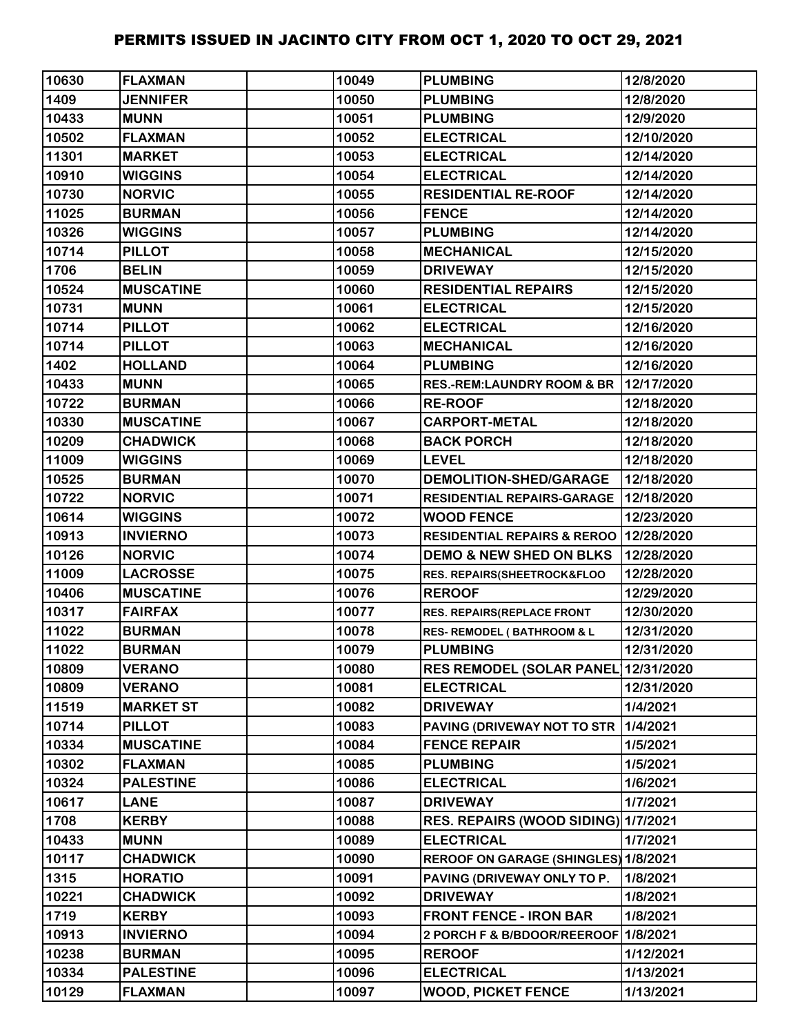| 10630 | <b>FLAXMAN</b>   | 10049 | <b>PLUMBING</b>                          | 12/8/2020  |
|-------|------------------|-------|------------------------------------------|------------|
| 1409  | <b>JENNIFER</b>  | 10050 | <b>PLUMBING</b>                          | 12/8/2020  |
| 10433 | <b>MUNN</b>      | 10051 | <b>PLUMBING</b>                          | 12/9/2020  |
| 10502 | <b>FLAXMAN</b>   | 10052 | <b>ELECTRICAL</b>                        | 12/10/2020 |
| 11301 | <b>MARKET</b>    | 10053 | <b>ELECTRICAL</b>                        | 12/14/2020 |
| 10910 | <b>WIGGINS</b>   | 10054 | <b>ELECTRICAL</b>                        | 12/14/2020 |
| 10730 | <b>NORVIC</b>    | 10055 | <b>RESIDENTIAL RE-ROOF</b>               | 12/14/2020 |
| 11025 | <b>BURMAN</b>    | 10056 | <b>FENCE</b>                             | 12/14/2020 |
| 10326 | <b>WIGGINS</b>   | 10057 | <b>PLUMBING</b>                          | 12/14/2020 |
| 10714 | <b>PILLOT</b>    | 10058 | <b>MECHANICAL</b>                        | 12/15/2020 |
| 1706  | <b>BELIN</b>     | 10059 | <b>DRIVEWAY</b>                          | 12/15/2020 |
| 10524 | <b>MUSCATINE</b> | 10060 | <b>RESIDENTIAL REPAIRS</b>               | 12/15/2020 |
| 10731 | <b>MUNN</b>      | 10061 | <b>ELECTRICAL</b>                        | 12/15/2020 |
| 10714 | <b>PILLOT</b>    | 10062 | <b>ELECTRICAL</b>                        | 12/16/2020 |
| 10714 | <b>PILLOT</b>    | 10063 | <b>MECHANICAL</b>                        | 12/16/2020 |
| 1402  | <b>HOLLAND</b>   | 10064 | <b>PLUMBING</b>                          | 12/16/2020 |
| 10433 | <b>MUNN</b>      | 10065 | <b>RES.-REM:LAUNDRY ROOM &amp; BR</b>    | 12/17/2020 |
| 10722 | <b>BURMAN</b>    | 10066 | <b>RE-ROOF</b>                           | 12/18/2020 |
| 10330 | <b>MUSCATINE</b> | 10067 | <b>CARPORT-METAL</b>                     | 12/18/2020 |
| 10209 | <b>CHADWICK</b>  | 10068 | <b>BACK PORCH</b>                        | 12/18/2020 |
| 11009 | <b>WIGGINS</b>   | 10069 | <b>LEVEL</b>                             | 12/18/2020 |
| 10525 | <b>BURMAN</b>    | 10070 | <b>DEMOLITION-SHED/GARAGE</b>            | 12/18/2020 |
| 10722 | <b>NORVIC</b>    | 10071 | RESIDENTIAL REPAIRS-GARAGE   12/18/2020  |            |
| 10614 | <b>WIGGINS</b>   | 10072 | <b>WOOD FENCE</b>                        | 12/23/2020 |
| 10913 | <b>INVIERNO</b>  | 10073 | RESIDENTIAL REPAIRS & REROO   12/28/2020 |            |
| 10126 | <b>NORVIC</b>    | 10074 | <b>DEMO &amp; NEW SHED ON BLKS</b>       | 12/28/2020 |
| 11009 | <b>LACROSSE</b>  | 10075 | RES. REPAIRS(SHEETROCK&FLOO              | 12/28/2020 |
| 10406 | <b>MUSCATINE</b> | 10076 | <b>REROOF</b>                            | 12/29/2020 |
| 10317 | <b>FAIRFAX</b>   | 10077 | <b>RES. REPAIRS(REPLACE FRONT</b>        | 12/30/2020 |
| 11022 | <b>BURMAN</b>    | 10078 | <b>RES- REMODEL (BATHROOM &amp; L</b>    | 12/31/2020 |
| 11022 | <b>BURMAN</b>    | 10079 | <b>PLUMBING</b>                          | 12/31/2020 |
| 10809 | <b>VERANO</b>    | 10080 | <b>RES REMODEL (SOLAR PANEL)</b>         | 12/31/2020 |
| 10809 | <b>VERANO</b>    | 10081 | <b>ELECTRICAL</b>                        | 12/31/2020 |
| 11519 | <b>MARKET ST</b> | 10082 | <b>DRIVEWAY</b>                          | 1/4/2021   |
| 10714 | <b>PILLOT</b>    | 10083 | PAVING (DRIVEWAY NOT TO STR              | 1/4/2021   |
| 10334 | <b>MUSCATINE</b> | 10084 | <b>FENCE REPAIR</b>                      | 1/5/2021   |
| 10302 | <b>FLAXMAN</b>   | 10085 | <b>PLUMBING</b>                          | 1/5/2021   |
| 10324 | <b>PALESTINE</b> | 10086 | <b>ELECTRICAL</b>                        | 1/6/2021   |
| 10617 | <b>LANE</b>      | 10087 | <b>DRIVEWAY</b>                          | 1/7/2021   |
| 1708  | <b>KERBY</b>     | 10088 | RES. REPAIRS (WOOD SIDING) 1/7/2021      |            |
| 10433 | <b>MUNN</b>      | 10089 | <b>ELECTRICAL</b>                        | 1/7/2021   |
| 10117 | <b>CHADWICK</b>  | 10090 | REROOF ON GARAGE (SHINGLES) 1/8/2021     |            |
| 1315  | <b>HORATIO</b>   | 10091 | PAVING (DRIVEWAY ONLY TO P.              | 1/8/2021   |
| 10221 | <b>CHADWICK</b>  | 10092 | <b>DRIVEWAY</b>                          | 1/8/2021   |
| 1719  | <b>KERBY</b>     | 10093 | <b>FRONT FENCE - IRON BAR</b>            | 1/8/2021   |
| 10913 | <b>INVIERNO</b>  | 10094 | 2 PORCH F & B/BDOOR/REEROOF 1/8/2021     |            |
| 10238 | <b>BURMAN</b>    | 10095 | <b>REROOF</b>                            | 1/12/2021  |
| 10334 | <b>PALESTINE</b> | 10096 | <b>ELECTRICAL</b>                        | 1/13/2021  |
| 10129 | <b>FLAXMAN</b>   | 10097 | <b>WOOD, PICKET FENCE</b>                | 1/13/2021  |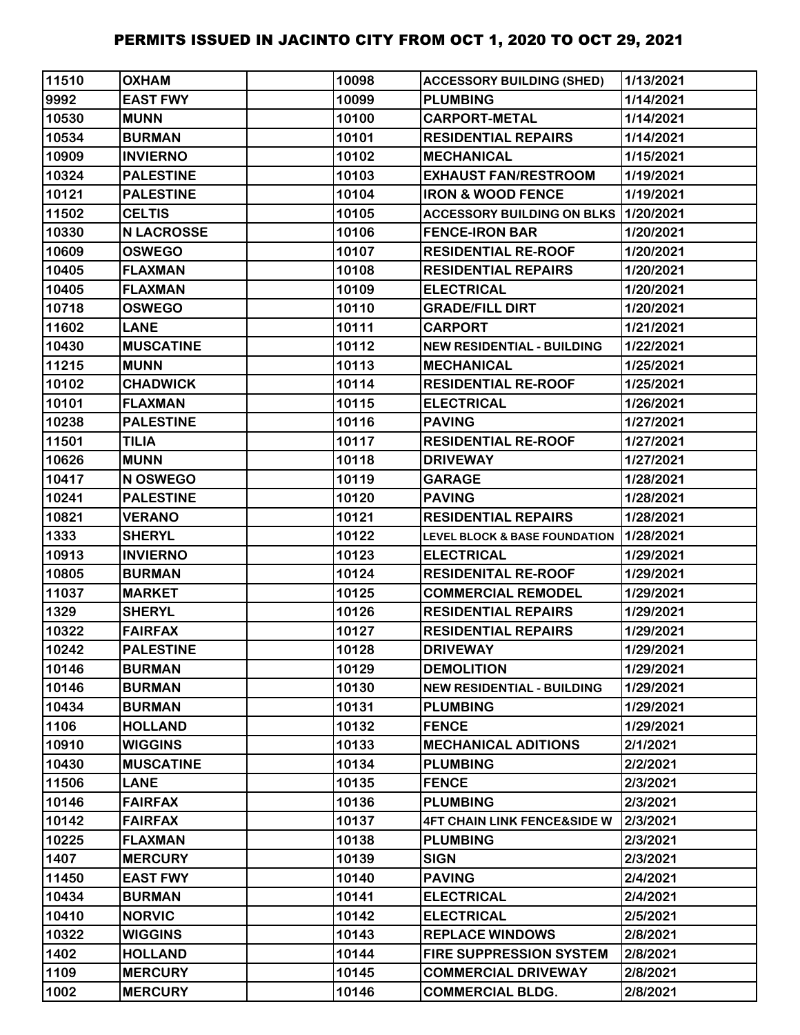| 11510 | <b>OXHAM</b>      | 10098 | <b>ACCESSORY BUILDING (SHED)</b>         | 1/13/2021 |
|-------|-------------------|-------|------------------------------------------|-----------|
| 9992  | <b>EAST FWY</b>   | 10099 | <b>PLUMBING</b>                          | 1/14/2021 |
| 10530 | <b>MUNN</b>       | 10100 | <b>CARPORT-METAL</b>                     | 1/14/2021 |
| 10534 | <b>BURMAN</b>     | 10101 | <b>RESIDENTIAL REPAIRS</b>               | 1/14/2021 |
| 10909 | <b>INVIERNO</b>   | 10102 | <b>MECHANICAL</b>                        | 1/15/2021 |
| 10324 | <b>PALESTINE</b>  | 10103 | <b>EXHAUST FAN/RESTROOM</b>              | 1/19/2021 |
| 10121 | <b>PALESTINE</b>  | 10104 | <b>IRON &amp; WOOD FENCE</b>             | 1/19/2021 |
| 11502 | <b>CELTIS</b>     | 10105 | ACCESSORY BUILDING ON BLKS 1/20/2021     |           |
| 10330 | <b>N LACROSSE</b> | 10106 | <b>FENCE-IRON BAR</b>                    | 1/20/2021 |
| 10609 | <b>OSWEGO</b>     | 10107 | <b>RESIDENTIAL RE-ROOF</b>               | 1/20/2021 |
| 10405 | <b>FLAXMAN</b>    | 10108 | <b>RESIDENTIAL REPAIRS</b>               | 1/20/2021 |
| 10405 | <b>FLAXMAN</b>    | 10109 | <b>ELECTRICAL</b>                        | 1/20/2021 |
| 10718 | <b>OSWEGO</b>     | 10110 | <b>GRADE/FILL DIRT</b>                   | 1/20/2021 |
| 11602 | <b>LANE</b>       | 10111 | <b>CARPORT</b>                           | 1/21/2021 |
| 10430 | <b>MUSCATINE</b>  | 10112 | <b>NEW RESIDENTIAL - BUILDING</b>        | 1/22/2021 |
| 11215 | <b>MUNN</b>       | 10113 | <b>MECHANICAL</b>                        | 1/25/2021 |
| 10102 | <b>CHADWICK</b>   | 10114 | <b>RESIDENTIAL RE-ROOF</b>               | 1/25/2021 |
| 10101 | <b>FLAXMAN</b>    | 10115 | <b>ELECTRICAL</b>                        | 1/26/2021 |
| 10238 | <b>PALESTINE</b>  | 10116 | <b>PAVING</b>                            | 1/27/2021 |
| 11501 | <b>TILIA</b>      | 10117 | <b>RESIDENTIAL RE-ROOF</b>               | 1/27/2021 |
| 10626 | <b>MUNN</b>       | 10118 | <b>DRIVEWAY</b>                          | 1/27/2021 |
| 10417 | N OSWEGO          | 10119 | <b>GARAGE</b>                            | 1/28/2021 |
| 10241 | <b>PALESTINE</b>  | 10120 | <b>PAVING</b>                            | 1/28/2021 |
| 10821 | <b>VERANO</b>     | 10121 | <b>RESIDENTIAL REPAIRS</b>               | 1/28/2021 |
| 1333  | <b>SHERYL</b>     | 10122 | <b>LEVEL BLOCK &amp; BASE FOUNDATION</b> | 1/28/2021 |
| 10913 | <b>INVIERNO</b>   | 10123 | <b>ELECTRICAL</b>                        | 1/29/2021 |
| 10805 | <b>BURMAN</b>     | 10124 | <b>RESIDENITAL RE-ROOF</b>               | 1/29/2021 |
| 11037 | <b>MARKET</b>     | 10125 | <b>COMMERCIAL REMODEL</b>                | 1/29/2021 |
| 1329  | <b>SHERYL</b>     | 10126 | <b>RESIDENTIAL REPAIRS</b>               | 1/29/2021 |
| 10322 | <b>FAIRFAX</b>    | 10127 | <b>RESIDENTIAL REPAIRS</b>               | 1/29/2021 |
| 10242 | <b>PALESTINE</b>  | 10128 | <b>DRIVEWAY</b>                          | 1/29/2021 |
| 10146 | <b>BURMAN</b>     | 10129 | <b>DEMOLITION</b>                        | 1/29/2021 |
| 10146 | <b>BURMAN</b>     | 10130 | <b>NEW RESIDENTIAL - BUILDING</b>        | 1/29/2021 |
| 10434 | <b>BURMAN</b>     | 10131 | <b>PLUMBING</b>                          | 1/29/2021 |
| 1106  | <b>HOLLAND</b>    | 10132 | <b>FENCE</b>                             | 1/29/2021 |
| 10910 | <b>WIGGINS</b>    | 10133 | <b>MECHANICAL ADITIONS</b>               | 2/1/2021  |
| 10430 | <b>MUSCATINE</b>  | 10134 | <b>PLUMBING</b>                          | 2/2/2021  |
| 11506 | <b>LANE</b>       | 10135 | <b>FENCE</b>                             | 2/3/2021  |
| 10146 | <b>FAIRFAX</b>    | 10136 | <b>PLUMBING</b>                          | 2/3/2021  |
| 10142 | <b>FAIRFAX</b>    | 10137 | <b>4FT CHAIN LINK FENCE&amp;SIDE W</b>   | 2/3/2021  |
| 10225 | <b>FLAXMAN</b>    | 10138 | <b>PLUMBING</b>                          | 2/3/2021  |
| 1407  | <b>MERCURY</b>    | 10139 | <b>SIGN</b>                              | 2/3/2021  |
| 11450 | <b>EAST FWY</b>   | 10140 | <b>PAVING</b>                            | 2/4/2021  |
| 10434 | <b>BURMAN</b>     | 10141 | <b>ELECTRICAL</b>                        | 2/4/2021  |
| 10410 | <b>NORVIC</b>     | 10142 | <b>ELECTRICAL</b>                        | 2/5/2021  |
| 10322 | <b>WIGGINS</b>    | 10143 | <b>REPLACE WINDOWS</b>                   | 2/8/2021  |
| 1402  | <b>HOLLAND</b>    | 10144 | <b>FIRE SUPPRESSION SYSTEM</b>           | 2/8/2021  |
| 1109  | <b>MERCURY</b>    | 10145 | <b>COMMERCIAL DRIVEWAY</b>               | 2/8/2021  |
| 1002  | <b>MERCURY</b>    | 10146 | <b>COMMERCIAL BLDG.</b>                  | 2/8/2021  |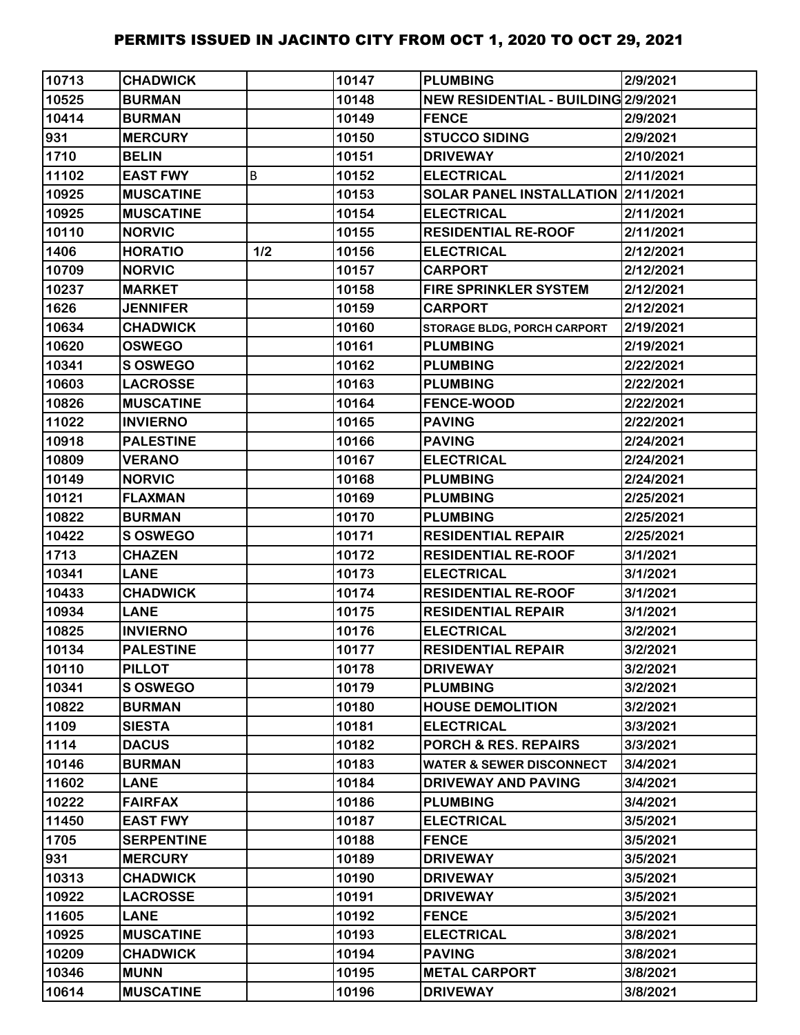| 10713 | <b>CHADWICK</b>   |     | 10147 | <b>PLUMBING</b>                     | 2/9/2021  |
|-------|-------------------|-----|-------|-------------------------------------|-----------|
| 10525 | <b>BURMAN</b>     |     | 10148 | NEW RESIDENTIAL - BUILDING 2/9/2021 |           |
| 10414 | <b>BURMAN</b>     |     | 10149 | <b>FENCE</b>                        | 2/9/2021  |
| 931   | <b>MERCURY</b>    |     | 10150 | <b>STUCCO SIDING</b>                | 2/9/2021  |
| 1710  | <b>BELIN</b>      |     | 10151 | <b>DRIVEWAY</b>                     | 2/10/2021 |
| 11102 | <b>EAST FWY</b>   | B   | 10152 | <b>ELECTRICAL</b>                   | 2/11/2021 |
| 10925 | <b>MUSCATINE</b>  |     | 10153 | SOLAR PANEL INSTALLATION 2/11/2021  |           |
| 10925 | <b>MUSCATINE</b>  |     | 10154 | <b>ELECTRICAL</b>                   | 2/11/2021 |
| 10110 | <b>NORVIC</b>     |     | 10155 | <b>RESIDENTIAL RE-ROOF</b>          | 2/11/2021 |
| 1406  | <b>HORATIO</b>    | 1/2 | 10156 | <b>ELECTRICAL</b>                   | 2/12/2021 |
| 10709 | <b>NORVIC</b>     |     | 10157 | <b>CARPORT</b>                      | 2/12/2021 |
| 10237 | <b>MARKET</b>     |     | 10158 | <b>FIRE SPRINKLER SYSTEM</b>        | 2/12/2021 |
| 1626  | <b>JENNIFER</b>   |     | 10159 | <b>CARPORT</b>                      | 2/12/2021 |
| 10634 | <b>CHADWICK</b>   |     | 10160 | STORAGE BLDG, PORCH CARPORT         | 2/19/2021 |
| 10620 | <b>OSWEGO</b>     |     | 10161 | <b>PLUMBING</b>                     | 2/19/2021 |
| 10341 | <b>S OSWEGO</b>   |     | 10162 | <b>PLUMBING</b>                     | 2/22/2021 |
| 10603 | <b>LACROSSE</b>   |     | 10163 | <b>PLUMBING</b>                     | 2/22/2021 |
| 10826 | <b>MUSCATINE</b>  |     | 10164 | <b>FENCE-WOOD</b>                   | 2/22/2021 |
| 11022 | <b>INVIERNO</b>   |     | 10165 | <b>PAVING</b>                       | 2/22/2021 |
| 10918 | <b>PALESTINE</b>  |     | 10166 | <b>PAVING</b>                       | 2/24/2021 |
| 10809 | <b>VERANO</b>     |     | 10167 | <b>ELECTRICAL</b>                   | 2/24/2021 |
| 10149 | <b>NORVIC</b>     |     | 10168 | <b>PLUMBING</b>                     | 2/24/2021 |
| 10121 | <b>FLAXMAN</b>    |     | 10169 | <b>PLUMBING</b>                     | 2/25/2021 |
| 10822 | <b>BURMAN</b>     |     | 10170 | <b>PLUMBING</b>                     | 2/25/2021 |
| 10422 | S OSWEGO          |     | 10171 | <b>RESIDENTIAL REPAIR</b>           | 2/25/2021 |
| 1713  | <b>CHAZEN</b>     |     | 10172 | <b>RESIDENTIAL RE-ROOF</b>          | 3/1/2021  |
| 10341 | <b>LANE</b>       |     | 10173 | <b>ELECTRICAL</b>                   | 3/1/2021  |
| 10433 | <b>CHADWICK</b>   |     | 10174 | <b>RESIDENTIAL RE-ROOF</b>          | 3/1/2021  |
| 10934 | <b>LANE</b>       |     | 10175 | <b>RESIDENTIAL REPAIR</b>           | 3/1/2021  |
| 10825 | <b>INVIERNO</b>   |     | 10176 | <b>ELECTRICAL</b>                   | 3/2/2021  |
| 10134 | <b>PALESTINE</b>  |     | 10177 | <b>RESIDENTIAL REPAIR</b>           | 3/2/2021  |
| 10110 | <b>PILLOT</b>     |     | 10178 | <b>DRIVEWAY</b>                     | 3/2/2021  |
| 10341 | <b>S OSWEGO</b>   |     | 10179 | <b>PLUMBING</b>                     | 3/2/2021  |
| 10822 | <b>BURMAN</b>     |     | 10180 | <b>HOUSE DEMOLITION</b>             | 3/2/2021  |
| 1109  | <b>SIESTA</b>     |     | 10181 | <b>ELECTRICAL</b>                   | 3/3/2021  |
| 1114  | <b>DACUS</b>      |     | 10182 | <b>PORCH &amp; RES. REPAIRS</b>     | 3/3/2021  |
| 10146 | <b>BURMAN</b>     |     | 10183 | <b>WATER &amp; SEWER DISCONNECT</b> | 3/4/2021  |
| 11602 | <b>LANE</b>       |     | 10184 | <b>DRIVEWAY AND PAVING</b>          | 3/4/2021  |
| 10222 | <b>FAIRFAX</b>    |     | 10186 | <b>PLUMBING</b>                     | 3/4/2021  |
| 11450 | <b>EAST FWY</b>   |     | 10187 | <b>ELECTRICAL</b>                   | 3/5/2021  |
| 1705  | <b>SERPENTINE</b> |     | 10188 | <b>FENCE</b>                        | 3/5/2021  |
| 931   | <b>MERCURY</b>    |     | 10189 | <b>DRIVEWAY</b>                     | 3/5/2021  |
| 10313 | <b>CHADWICK</b>   |     | 10190 | <b>DRIVEWAY</b>                     | 3/5/2021  |
| 10922 | <b>LACROSSE</b>   |     | 10191 | <b>DRIVEWAY</b>                     | 3/5/2021  |
| 11605 | <b>LANE</b>       |     | 10192 | <b>FENCE</b>                        | 3/5/2021  |
| 10925 | <b>MUSCATINE</b>  |     | 10193 | <b>ELECTRICAL</b>                   | 3/8/2021  |
| 10209 | <b>CHADWICK</b>   |     | 10194 | <b>PAVING</b>                       | 3/8/2021  |
| 10346 | <b>MUNN</b>       |     | 10195 | <b>METAL CARPORT</b>                | 3/8/2021  |
| 10614 | <b>MUSCATINE</b>  |     | 10196 | <b>DRIVEWAY</b>                     | 3/8/2021  |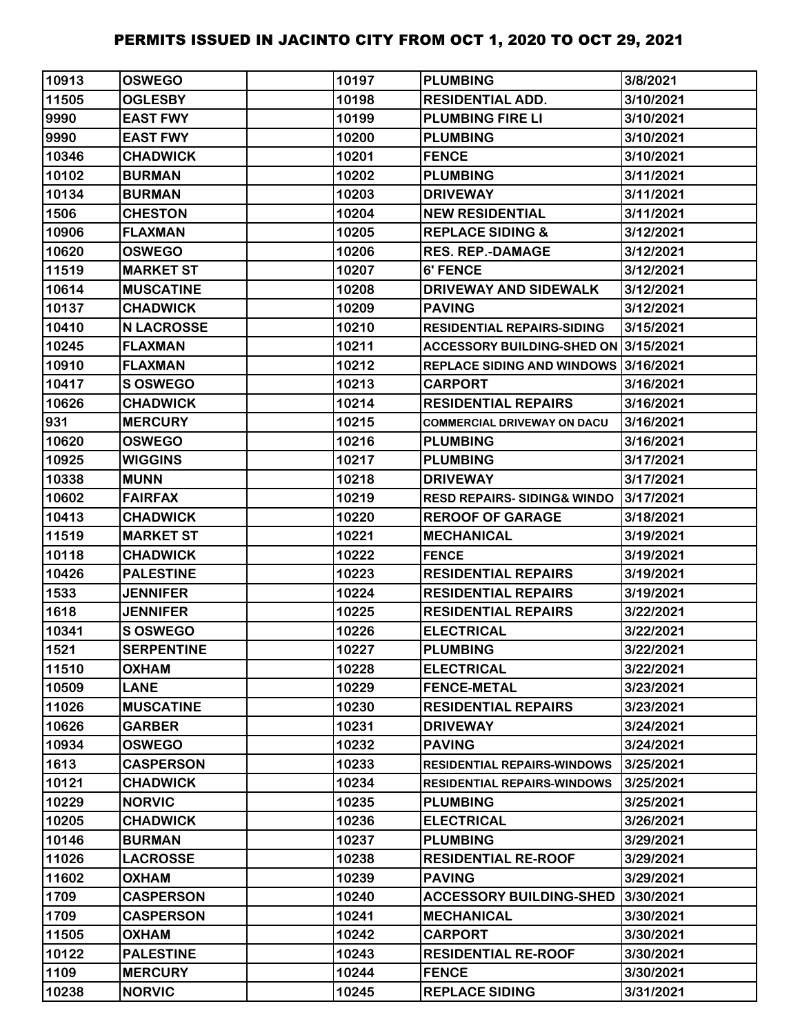| 10913 | <b>OSWEGO</b>     | 10197 | <b>PLUMBING</b>                       | 3/8/2021  |
|-------|-------------------|-------|---------------------------------------|-----------|
| 11505 | <b>OGLESBY</b>    | 10198 | <b>RESIDENTIAL ADD.</b>               | 3/10/2021 |
| 9990  | <b>EAST FWY</b>   | 10199 | <b>PLUMBING FIRE LI</b>               | 3/10/2021 |
| 9990  | <b>EAST FWY</b>   | 10200 | <b>PLUMBING</b>                       | 3/10/2021 |
| 10346 | <b>CHADWICK</b>   | 10201 | <b>FENCE</b>                          | 3/10/2021 |
| 10102 | <b>BURMAN</b>     | 10202 | <b>PLUMBING</b>                       | 3/11/2021 |
| 10134 | <b>BURMAN</b>     | 10203 | <b>DRIVEWAY</b>                       | 3/11/2021 |
| 1506  | <b>CHESTON</b>    | 10204 | <b>NEW RESIDENTIAL</b>                | 3/11/2021 |
| 10906 | <b>FLAXMAN</b>    | 10205 | <b>REPLACE SIDING &amp;</b>           | 3/12/2021 |
| 10620 | <b>OSWEGO</b>     | 10206 | <b>RES. REP.-DAMAGE</b>               | 3/12/2021 |
| 11519 | <b>MARKET ST</b>  | 10207 | <b>6' FENCE</b>                       | 3/12/2021 |
| 10614 | <b>MUSCATINE</b>  | 10208 | DRIVEWAY AND SIDEWALK                 | 3/12/2021 |
| 10137 | <b>CHADWICK</b>   | 10209 | <b>PAVING</b>                         | 3/12/2021 |
| 10410 | <b>N LACROSSE</b> | 10210 | <b>RESIDENTIAL REPAIRS-SIDING</b>     | 3/15/2021 |
| 10245 | <b>FLAXMAN</b>    | 10211 | ACCESSORY BUILDING-SHED ON 3/15/2021  |           |
| 10910 | <b>FLAXMAN</b>    | 10212 | REPLACE SIDING AND WINDOWS 3/16/2021  |           |
| 10417 | S OSWEGO          | 10213 | <b>CARPORT</b>                        | 3/16/2021 |
| 10626 | <b>CHADWICK</b>   | 10214 | <b>RESIDENTIAL REPAIRS</b>            | 3/16/2021 |
| 931   | <b>MERCURY</b>    | 10215 | <b>COMMERCIAL DRIVEWAY ON DACU</b>    | 3/16/2021 |
| 10620 | <b>OSWEGO</b>     | 10216 | <b>PLUMBING</b>                       | 3/16/2021 |
| 10925 | <b>WIGGINS</b>    | 10217 | <b>PLUMBING</b>                       | 3/17/2021 |
| 10338 | <b>MUNN</b>       | 10218 | <b>DRIVEWAY</b>                       | 3/17/2021 |
| 10602 | <b>FAIRFAX</b>    | 10219 | <b>RESD REPAIRS-SIDING&amp; WINDO</b> | 3/17/2021 |
| 10413 | <b>CHADWICK</b>   | 10220 | <b>REROOF OF GARAGE</b>               | 3/18/2021 |
| 11519 | <b>MARKET ST</b>  | 10221 | <b>MECHANICAL</b>                     | 3/19/2021 |
| 10118 | <b>CHADWICK</b>   | 10222 | <b>FENCE</b>                          | 3/19/2021 |
| 10426 | <b>PALESTINE</b>  | 10223 | <b>RESIDENTIAL REPAIRS</b>            | 3/19/2021 |
| 1533  | <b>JENNIFER</b>   | 10224 | <b>RESIDENTIAL REPAIRS</b>            | 3/19/2021 |
| 1618  | <b>JENNIFER</b>   | 10225 | <b>RESIDENTIAL REPAIRS</b>            | 3/22/2021 |
| 10341 | S OSWEGO          | 10226 | <b>ELECTRICAL</b>                     | 3/22/2021 |
| 1521  | <b>SERPENTINE</b> | 10227 | <b>PLUMBING</b>                       | 3/22/2021 |
| 11510 | <b>OXHAM</b>      | 10228 | <b>ELECTRICAL</b>                     | 3/22/2021 |
| 10509 | <b>LANE</b>       | 10229 | <b>FENCE-METAL</b>                    | 3/23/2021 |
| 11026 | <b>MUSCATINE</b>  | 10230 | <b>RESIDENTIAL REPAIRS</b>            | 3/23/2021 |
| 10626 | <b>GARBER</b>     | 10231 | <b>DRIVEWAY</b>                       | 3/24/2021 |
| 10934 | <b>OSWEGO</b>     | 10232 | <b>PAVING</b>                         | 3/24/2021 |
| 1613  | <b>CASPERSON</b>  | 10233 | <b>RESIDENTIAL REPAIRS-WINDOWS</b>    | 3/25/2021 |
| 10121 | <b>CHADWICK</b>   | 10234 | <b>RESIDENTIAL REPAIRS-WINDOWS</b>    | 3/25/2021 |
| 10229 | <b>NORVIC</b>     | 10235 | <b>PLUMBING</b>                       | 3/25/2021 |
| 10205 | <b>CHADWICK</b>   | 10236 | <b>ELECTRICAL</b>                     | 3/26/2021 |
| 10146 | <b>BURMAN</b>     | 10237 | <b>PLUMBING</b>                       | 3/29/2021 |
| 11026 | <b>LACROSSE</b>   | 10238 | <b>RESIDENTIAL RE-ROOF</b>            | 3/29/2021 |
| 11602 | <b>OXHAM</b>      | 10239 | <b>PAVING</b>                         | 3/29/2021 |
| 1709  | <b>CASPERSON</b>  | 10240 | <b>ACCESSORY BUILDING-SHED</b>        | 3/30/2021 |
| 1709  | <b>CASPERSON</b>  | 10241 | <b>MECHANICAL</b>                     | 3/30/2021 |
| 11505 | <b>OXHAM</b>      | 10242 | <b>CARPORT</b>                        | 3/30/2021 |
| 10122 | <b>PALESTINE</b>  | 10243 | <b>RESIDENTIAL RE-ROOF</b>            | 3/30/2021 |
| 1109  | <b>MERCURY</b>    | 10244 | <b>FENCE</b>                          | 3/30/2021 |
| 10238 | <b>NORVIC</b>     | 10245 | <b>REPLACE SIDING</b>                 | 3/31/2021 |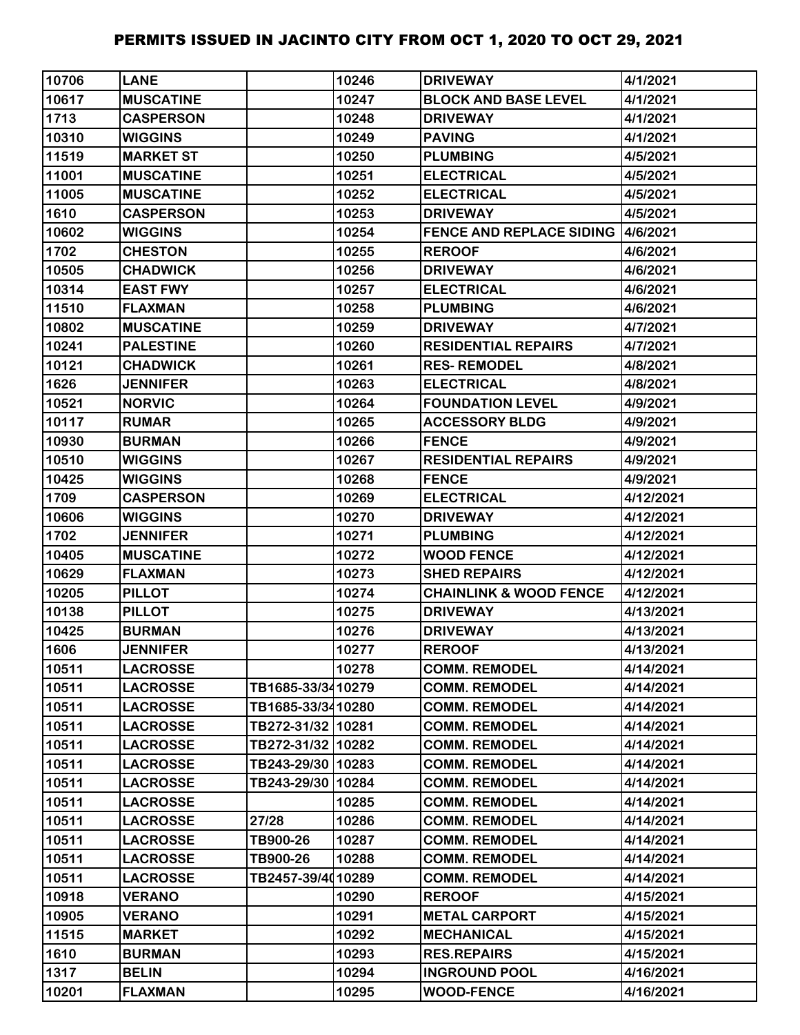| 10706 | <b>LANE</b>      |                   | 10246 | <b>DRIVEWAY</b>                   | 4/1/2021  |
|-------|------------------|-------------------|-------|-----------------------------------|-----------|
| 10617 | <b>MUSCATINE</b> |                   | 10247 | <b>BLOCK AND BASE LEVEL</b>       | 4/1/2021  |
| 1713  | <b>CASPERSON</b> |                   | 10248 | <b>DRIVEWAY</b>                   | 4/1/2021  |
| 10310 | <b>WIGGINS</b>   |                   | 10249 | <b>PAVING</b>                     | 4/1/2021  |
| 11519 | <b>MARKET ST</b> |                   | 10250 | <b>PLUMBING</b>                   | 4/5/2021  |
| 11001 | <b>MUSCATINE</b> |                   | 10251 | <b>ELECTRICAL</b>                 | 4/5/2021  |
| 11005 | <b>MUSCATINE</b> |                   | 10252 | <b>ELECTRICAL</b>                 | 4/5/2021  |
| 1610  | <b>CASPERSON</b> |                   | 10253 | <b>DRIVEWAY</b>                   | 4/5/2021  |
| 10602 | <b>WIGGINS</b>   |                   | 10254 | FENCE AND REPLACE SIDING 4/6/2021 |           |
| 1702  | <b>CHESTON</b>   |                   | 10255 | <b>REROOF</b>                     | 4/6/2021  |
| 10505 | <b>CHADWICK</b>  |                   | 10256 | <b>DRIVEWAY</b>                   | 4/6/2021  |
| 10314 | <b>EAST FWY</b>  |                   | 10257 | <b>ELECTRICAL</b>                 | 4/6/2021  |
| 11510 | <b>FLAXMAN</b>   |                   | 10258 | <b>PLUMBING</b>                   | 4/6/2021  |
| 10802 | <b>MUSCATINE</b> |                   | 10259 | <b>DRIVEWAY</b>                   | 4/7/2021  |
| 10241 | <b>PALESTINE</b> |                   | 10260 | <b>RESIDENTIAL REPAIRS</b>        | 4/7/2021  |
| 10121 | <b>CHADWICK</b>  |                   | 10261 | <b>RES-REMODEL</b>                | 4/8/2021  |
| 1626  | <b>JENNIFER</b>  |                   | 10263 | <b>ELECTRICAL</b>                 | 4/8/2021  |
| 10521 | <b>NORVIC</b>    |                   | 10264 | <b>FOUNDATION LEVEL</b>           | 4/9/2021  |
| 10117 | <b>RUMAR</b>     |                   | 10265 | <b>ACCESSORY BLDG</b>             | 4/9/2021  |
| 10930 | <b>BURMAN</b>    |                   | 10266 | <b>FENCE</b>                      | 4/9/2021  |
| 10510 | <b>WIGGINS</b>   |                   | 10267 | <b>RESIDENTIAL REPAIRS</b>        | 4/9/2021  |
| 10425 | <b>WIGGINS</b>   |                   | 10268 | <b>FENCE</b>                      | 4/9/2021  |
| 1709  | <b>CASPERSON</b> |                   | 10269 | <b>ELECTRICAL</b>                 | 4/12/2021 |
| 10606 | <b>WIGGINS</b>   |                   | 10270 | <b>DRIVEWAY</b>                   | 4/12/2021 |
| 1702  | <b>JENNIFER</b>  |                   | 10271 | <b>PLUMBING</b>                   | 4/12/2021 |
| 10405 | <b>MUSCATINE</b> |                   | 10272 | <b>WOOD FENCE</b>                 | 4/12/2021 |
| 10629 | <b>FLAXMAN</b>   |                   | 10273 | <b>SHED REPAIRS</b>               | 4/12/2021 |
| 10205 | <b>PILLOT</b>    |                   | 10274 | <b>CHAINLINK &amp; WOOD FENCE</b> | 4/12/2021 |
| 10138 | <b>PILLOT</b>    |                   | 10275 | <b>DRIVEWAY</b>                   | 4/13/2021 |
| 10425 | <b>BURMAN</b>    |                   | 10276 | <b>DRIVEWAY</b>                   | 4/13/2021 |
| 1606  | <b>JENNIFER</b>  |                   | 10277 | <b>REROOF</b>                     | 4/13/2021 |
| 10511 | <b>LACROSSE</b>  |                   | 10278 | <b>COMM. REMODEL</b>              | 4/14/2021 |
| 10511 | <b>LACROSSE</b>  | TB1685-33/3410279 |       | <b>COMM. REMODEL</b>              | 4/14/2021 |
| 10511 | <b>LACROSSE</b>  | TB1685-33/3410280 |       | <b>COMM. REMODEL</b>              | 4/14/2021 |
| 10511 | <b>LACROSSE</b>  | TB272-31/32 10281 |       | <b>COMM. REMODEL</b>              | 4/14/2021 |
| 10511 | <b>LACROSSE</b>  | TB272-31/32 10282 |       | <b>COMM. REMODEL</b>              | 4/14/2021 |
| 10511 | <b>LACROSSE</b>  | TB243-29/30 10283 |       | <b>COMM. REMODEL</b>              | 4/14/2021 |
| 10511 | <b>LACROSSE</b>  | TB243-29/30 10284 |       | <b>COMM. REMODEL</b>              | 4/14/2021 |
| 10511 | <b>LACROSSE</b>  |                   | 10285 | <b>COMM. REMODEL</b>              | 4/14/2021 |
| 10511 | <b>LACROSSE</b>  | 27/28             | 10286 | <b>COMM. REMODEL</b>              | 4/14/2021 |
| 10511 | <b>LACROSSE</b>  | TB900-26          | 10287 | <b>COMM. REMODEL</b>              | 4/14/2021 |
| 10511 | <b>LACROSSE</b>  | TB900-26          | 10288 | <b>COMM. REMODEL</b>              | 4/14/2021 |
| 10511 | <b>LACROSSE</b>  | TB2457-39/4010289 |       | <b>COMM. REMODEL</b>              | 4/14/2021 |
| 10918 | <b>VERANO</b>    |                   | 10290 | <b>REROOF</b>                     | 4/15/2021 |
| 10905 | <b>VERANO</b>    |                   | 10291 | <b>METAL CARPORT</b>              | 4/15/2021 |
| 11515 | <b>MARKET</b>    |                   | 10292 | <b>MECHANICAL</b>                 | 4/15/2021 |
| 1610  | <b>BURMAN</b>    |                   | 10293 | <b>RES.REPAIRS</b>                | 4/15/2021 |
| 1317  | <b>BELIN</b>     |                   | 10294 | <b>INGROUND POOL</b>              | 4/16/2021 |
| 10201 | <b>FLAXMAN</b>   |                   | 10295 | <b>WOOD-FENCE</b>                 | 4/16/2021 |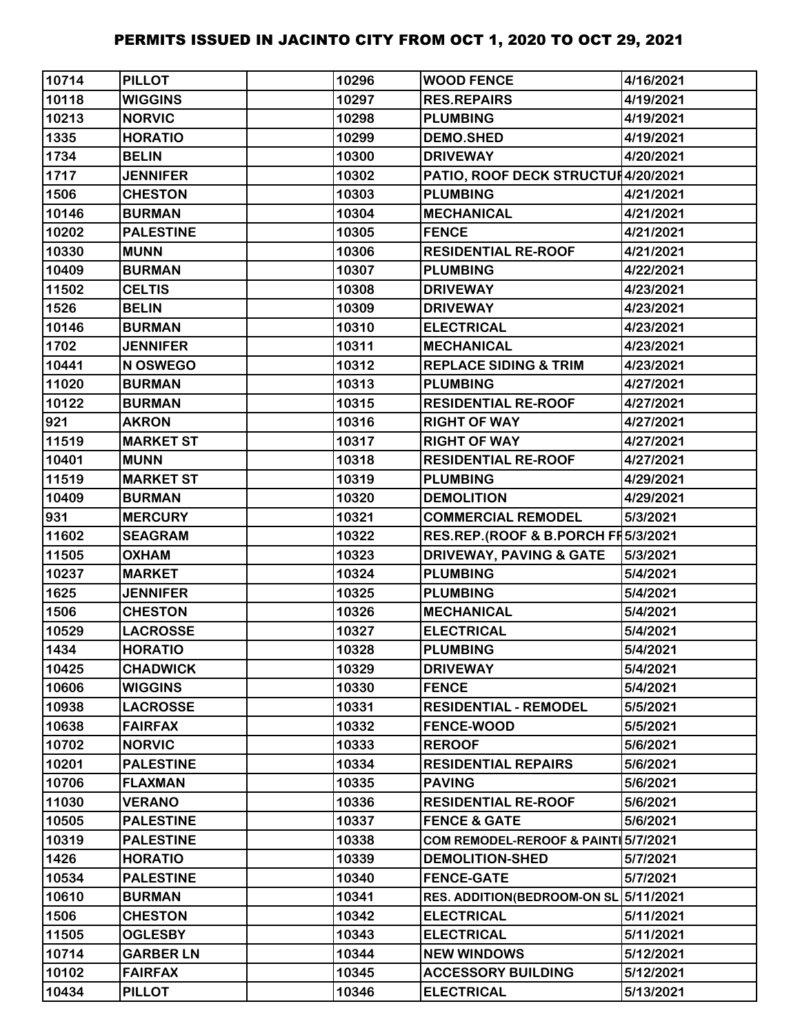| 10714 | <b>PILLOT</b>    | 10296 | <b>WOOD FENCE</b>                   | 4/16/2021 |
|-------|------------------|-------|-------------------------------------|-----------|
| 10118 | <b>WIGGINS</b>   | 10297 | <b>RES.REPAIRS</b>                  | 4/19/2021 |
| 10213 | <b>NORVIC</b>    | 10298 | <b>PLUMBING</b>                     | 4/19/2021 |
| 1335  | <b>HORATIO</b>   | 10299 | <b>DEMO.SHED</b>                    | 4/19/2021 |
| 1734  | <b>BELIN</b>     | 10300 | <b>DRIVEWAY</b>                     | 4/20/2021 |
| 1717  | <b>JENNIFER</b>  | 10302 | PATIO, ROOF DECK STRUCTUI4/20/2021  |           |
| 1506  | <b>CHESTON</b>   | 10303 | <b>PLUMBING</b>                     | 4/21/2021 |
| 10146 | <b>BURMAN</b>    | 10304 | <b>MECHANICAL</b>                   | 4/21/2021 |
| 10202 | <b>PALESTINE</b> | 10305 | <b>FENCE</b>                        | 4/21/2021 |
| 10330 | <b>MUNN</b>      | 10306 | <b>RESIDENTIAL RE-ROOF</b>          | 4/21/2021 |
| 10409 | <b>BURMAN</b>    | 10307 | <b>PLUMBING</b>                     | 4/22/2021 |
| 11502 | <b>CELTIS</b>    | 10308 | <b>DRIVEWAY</b>                     | 4/23/2021 |
| 1526  | <b>BELIN</b>     | 10309 | <b>DRIVEWAY</b>                     | 4/23/2021 |
| 10146 | <b>BURMAN</b>    | 10310 | <b>ELECTRICAL</b>                   | 4/23/2021 |
| 1702  | <b>JENNIFER</b>  | 10311 | <b>MECHANICAL</b>                   | 4/23/2021 |
| 10441 | N OSWEGO         | 10312 | <b>REPLACE SIDING &amp; TRIM</b>    | 4/23/2021 |
| 11020 | <b>BURMAN</b>    | 10313 | <b>PLUMBING</b>                     | 4/27/2021 |
| 10122 | <b>BURMAN</b>    | 10315 | <b>RESIDENTIAL RE-ROOF</b>          | 4/27/2021 |
| 921   | <b>AKRON</b>     | 10316 | <b>RIGHT OF WAY</b>                 | 4/27/2021 |
| 11519 | <b>MARKET ST</b> | 10317 | <b>RIGHT OF WAY</b>                 | 4/27/2021 |
| 10401 | <b>MUNN</b>      | 10318 | <b>RESIDENTIAL RE-ROOF</b>          | 4/27/2021 |
| 11519 | <b>MARKET ST</b> | 10319 | <b>PLUMBING</b>                     | 4/29/2021 |
| 10409 | <b>BURMAN</b>    | 10320 | <b>DEMOLITION</b>                   | 4/29/2021 |
| 931   | <b>MERCURY</b>   | 10321 | <b>COMMERCIAL REMODEL</b>           | 5/3/2021  |
| 11602 | <b>SEAGRAM</b>   | 10322 | RES.REP.(ROOF & B.PORCH FF 5/3/2021 |           |
| 11505 | <b>OXHAM</b>     | 10323 | <b>DRIVEWAY, PAVING &amp; GATE</b>  | 5/3/2021  |
| 10237 | <b>MARKET</b>    | 10324 | <b>PLUMBING</b>                     | 5/4/2021  |
| 1625  | <b>JENNIFER</b>  | 10325 | <b>PLUMBING</b>                     | 5/4/2021  |
| 1506  | <b>CHESTON</b>   | 10326 | <b>MECHANICAL</b>                   | 5/4/2021  |
| 10529 | <b>LACROSSE</b>  | 10327 | <b>ELECTRICAL</b>                   | 5/4/2021  |
| 1434  | <b>HORATIO</b>   | 10328 | <b>PLUMBING</b>                     | 5/4/2021  |
| 10425 | <b>CHADWICK</b>  | 10329 | <b>DRIVEWAY</b>                     | 5/4/2021  |
| 10606 | <b>WIGGINS</b>   | 10330 | <b>FENCE</b>                        | 5/4/2021  |
| 10938 | <b>LACROSSE</b>  | 10331 | <b>RESIDENTIAL - REMODEL</b>        | 5/5/2021  |
| 10638 | <b>FAIRFAX</b>   | 10332 | <b>FENCE-WOOD</b>                   | 5/5/2021  |
| 10702 | <b>NORVIC</b>    | 10333 | <b>REROOF</b>                       | 5/6/2021  |
| 10201 | <b>PALESTINE</b> | 10334 | <b>RESIDENTIAL REPAIRS</b>          | 5/6/2021  |
| 10706 | <b>FLAXMAN</b>   | 10335 | <b>PAVING</b>                       | 5/6/2021  |
| 11030 | <b>VERANO</b>    | 10336 | <b>RESIDENTIAL RE-ROOF</b>          | 5/6/2021  |
| 10505 | <b>PALESTINE</b> | 10337 | <b>FENCE &amp; GATE</b>             | 5/6/2021  |
| 10319 | <b>PALESTINE</b> | 10338 | COM REMODEL-REROOF & PAINT 5/7/2021 |           |
| 1426  | <b>HORATIO</b>   | 10339 | <b>DEMOLITION-SHED</b>              | 5/7/2021  |
| 10534 | <b>PALESTINE</b> | 10340 | <b>FENCE-GATE</b>                   | 5/7/2021  |
| 10610 | <b>BURMAN</b>    | 10341 | <b>RES. ADDITION(BEDROOM-ON SL)</b> | 5/11/2021 |
| 1506  | <b>CHESTON</b>   | 10342 | <b>ELECTRICAL</b>                   | 5/11/2021 |
| 11505 | <b>OGLESBY</b>   | 10343 | <b>ELECTRICAL</b>                   | 5/11/2021 |
| 10714 | <b>GARBER LN</b> | 10344 | <b>NEW WINDOWS</b>                  | 5/12/2021 |
| 10102 | <b>FAIRFAX</b>   | 10345 | <b>ACCESSORY BUILDING</b>           | 5/12/2021 |
| 10434 | <b>PILLOT</b>    | 10346 | <b>ELECTRICAL</b>                   | 5/13/2021 |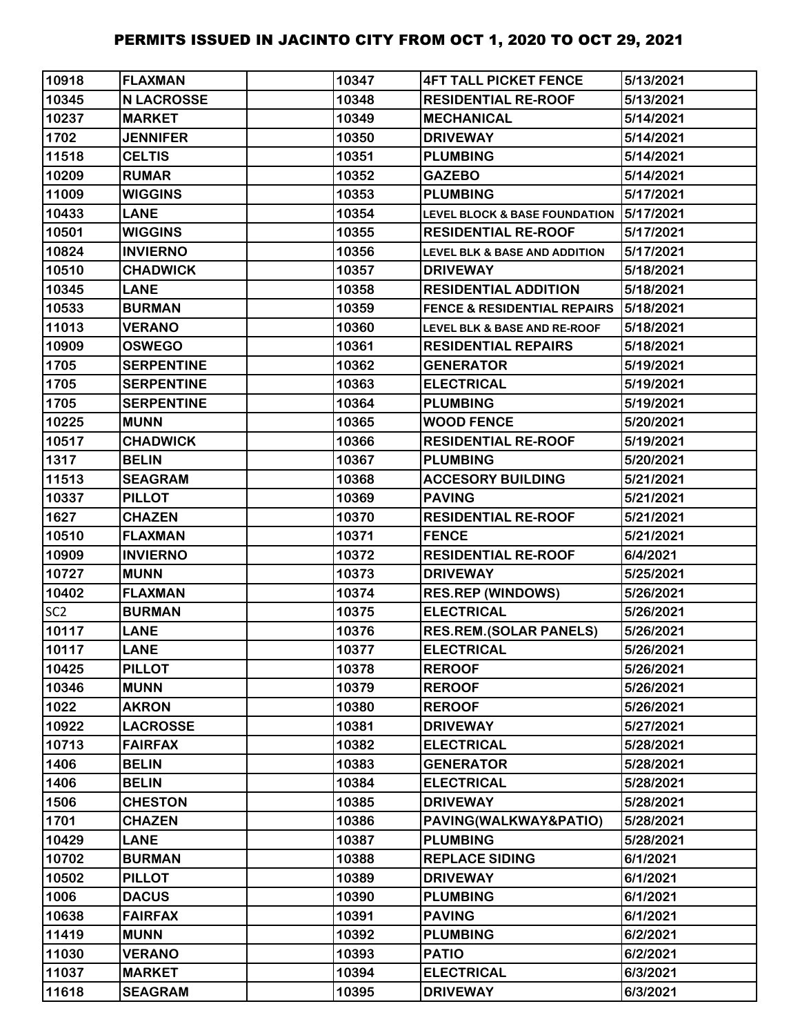| 10918           | <b>FLAXMAN</b>    | 10347 | <b>4FT TALL PICKET FENCE</b>             | 5/13/2021 |
|-----------------|-------------------|-------|------------------------------------------|-----------|
| 10345           | <b>N LACROSSE</b> | 10348 | <b>RESIDENTIAL RE-ROOF</b>               | 5/13/2021 |
| 10237           | <b>MARKET</b>     | 10349 | <b>MECHANICAL</b>                        | 5/14/2021 |
| 1702            | <b>JENNIFER</b>   | 10350 | <b>DRIVEWAY</b>                          | 5/14/2021 |
| 11518           | <b>CELTIS</b>     | 10351 | <b>PLUMBING</b>                          | 5/14/2021 |
| 10209           | <b>RUMAR</b>      | 10352 | <b>GAZEBO</b>                            | 5/14/2021 |
| 11009           | <b>WIGGINS</b>    | 10353 | <b>PLUMBING</b>                          | 5/17/2021 |
| 10433           | <b>LANE</b>       | 10354 | <b>LEVEL BLOCK &amp; BASE FOUNDATION</b> | 5/17/2021 |
| 10501           | <b>WIGGINS</b>    | 10355 | <b>RESIDENTIAL RE-ROOF</b>               | 5/17/2021 |
| 10824           | <b>INVIERNO</b>   | 10356 | <b>LEVEL BLK &amp; BASE AND ADDITION</b> | 5/17/2021 |
| 10510           | <b>CHADWICK</b>   | 10357 | <b>DRIVEWAY</b>                          | 5/18/2021 |
| 10345           | <b>LANE</b>       | 10358 | <b>RESIDENTIAL ADDITION</b>              | 5/18/2021 |
| 10533           | <b>BURMAN</b>     | 10359 | <b>FENCE &amp; RESIDENTIAL REPAIRS</b>   | 5/18/2021 |
| 11013           | <b>VERANO</b>     | 10360 | <b>LEVEL BLK &amp; BASE AND RE-ROOF</b>  | 5/18/2021 |
| 10909           | <b>OSWEGO</b>     | 10361 | <b>RESIDENTIAL REPAIRS</b>               | 5/18/2021 |
| 1705            | <b>SERPENTINE</b> | 10362 | <b>GENERATOR</b>                         | 5/19/2021 |
| 1705            | <b>SERPENTINE</b> | 10363 | <b>ELECTRICAL</b>                        | 5/19/2021 |
| 1705            | <b>SERPENTINE</b> | 10364 | <b>PLUMBING</b>                          | 5/19/2021 |
| 10225           | <b>MUNN</b>       | 10365 | <b>WOOD FENCE</b>                        | 5/20/2021 |
| 10517           | <b>CHADWICK</b>   | 10366 | <b>RESIDENTIAL RE-ROOF</b>               | 5/19/2021 |
| 1317            | <b>BELIN</b>      | 10367 | <b>PLUMBING</b>                          | 5/20/2021 |
| 11513           | <b>SEAGRAM</b>    | 10368 | <b>ACCESORY BUILDING</b>                 | 5/21/2021 |
| 10337           | <b>PILLOT</b>     | 10369 | <b>PAVING</b>                            | 5/21/2021 |
| 1627            | <b>CHAZEN</b>     | 10370 | <b>RESIDENTIAL RE-ROOF</b>               | 5/21/2021 |
| 10510           | <b>FLAXMAN</b>    | 10371 | <b>FENCE</b>                             | 5/21/2021 |
| 10909           | <b>INVIERNO</b>   | 10372 | <b>RESIDENTIAL RE-ROOF</b>               | 6/4/2021  |
| 10727           | <b>MUNN</b>       | 10373 | <b>DRIVEWAY</b>                          | 5/25/2021 |
| 10402           | <b>FLAXMAN</b>    | 10374 | <b>RES.REP (WINDOWS)</b>                 | 5/26/2021 |
| SC <sub>2</sub> | <b>BURMAN</b>     | 10375 | <b>ELECTRICAL</b>                        | 5/26/2021 |
| 10117           | <b>LANE</b>       | 10376 | <b>RES.REM.(SOLAR PANELS)</b>            | 5/26/2021 |
| 10117           | <b>LANE</b>       | 10377 | <b>ELECTRICAL</b>                        | 5/26/2021 |
| 10425           | <b>PILLOT</b>     | 10378 | <b>REROOF</b>                            | 5/26/2021 |
| 10346           | <b>MUNN</b>       | 10379 | <b>REROOF</b>                            | 5/26/2021 |
| 1022            | <b>AKRON</b>      | 10380 | <b>REROOF</b>                            | 5/26/2021 |
| 10922           | <b>LACROSSE</b>   | 10381 | <b>DRIVEWAY</b>                          | 5/27/2021 |
| 10713           | <b>FAIRFAX</b>    | 10382 | <b>ELECTRICAL</b>                        | 5/28/2021 |
| 1406            | <b>BELIN</b>      | 10383 | <b>GENERATOR</b>                         | 5/28/2021 |
| 1406            | <b>BELIN</b>      | 10384 | <b>ELECTRICAL</b>                        | 5/28/2021 |
| 1506            | <b>CHESTON</b>    | 10385 | <b>DRIVEWAY</b>                          | 5/28/2021 |
| 1701            | <b>CHAZEN</b>     | 10386 | PAVING(WALKWAY&PATIO)                    | 5/28/2021 |
| 10429           | <b>LANE</b>       | 10387 | <b>PLUMBING</b>                          | 5/28/2021 |
| 10702           | <b>BURMAN</b>     | 10388 | <b>REPLACE SIDING</b>                    | 6/1/2021  |
| 10502           | <b>PILLOT</b>     | 10389 | <b>DRIVEWAY</b>                          | 6/1/2021  |
| 1006            | <b>DACUS</b>      | 10390 | <b>PLUMBING</b>                          | 6/1/2021  |
| 10638           | <b>FAIRFAX</b>    | 10391 | <b>PAVING</b>                            | 6/1/2021  |
| 11419           | <b>MUNN</b>       | 10392 | <b>PLUMBING</b>                          | 6/2/2021  |
| 11030           | <b>VERANO</b>     | 10393 | <b>PATIO</b>                             | 6/2/2021  |
| 11037           | <b>MARKET</b>     | 10394 | <b>ELECTRICAL</b>                        | 6/3/2021  |
| 11618           | <b>SEAGRAM</b>    | 10395 | <b>DRIVEWAY</b>                          | 6/3/2021  |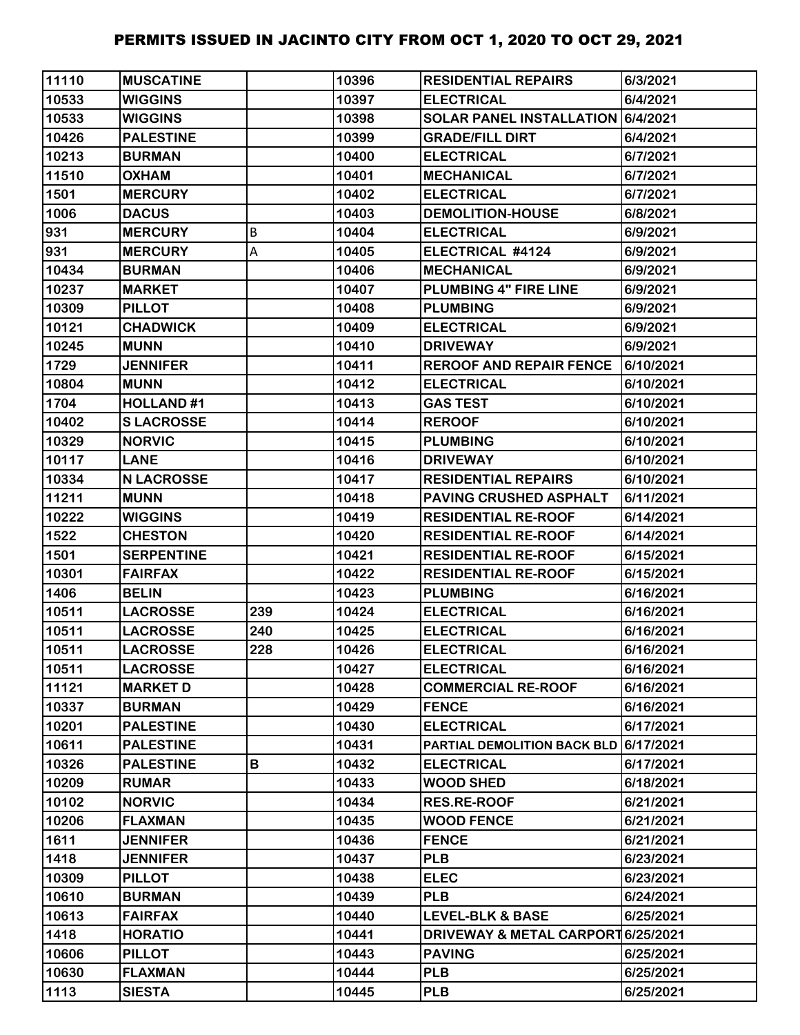| 11110 | <b>MUSCATINE</b>  |     | 10396 | <b>RESIDENTIAL REPAIRS</b>            | 6/3/2021  |
|-------|-------------------|-----|-------|---------------------------------------|-----------|
| 10533 | <b>WIGGINS</b>    |     | 10397 | <b>ELECTRICAL</b>                     | 6/4/2021  |
| 10533 | <b>WIGGINS</b>    |     | 10398 | SOLAR PANEL INSTALLATION 6/4/2021     |           |
| 10426 | <b>PALESTINE</b>  |     | 10399 | <b>GRADE/FILL DIRT</b>                | 6/4/2021  |
| 10213 | <b>BURMAN</b>     |     | 10400 | <b>ELECTRICAL</b>                     | 6/7/2021  |
| 11510 | <b>OXHAM</b>      |     | 10401 | <b>MECHANICAL</b>                     | 6/7/2021  |
| 1501  | <b>MERCURY</b>    |     | 10402 | <b>ELECTRICAL</b>                     | 6/7/2021  |
| 1006  | <b>DACUS</b>      |     | 10403 | <b>DEMOLITION-HOUSE</b>               | 6/8/2021  |
| 931   | <b>MERCURY</b>    | B   | 10404 | <b>ELECTRICAL</b>                     | 6/9/2021  |
| 931   | <b>MERCURY</b>    | Α   | 10405 | ELECTRICAL #4124                      | 6/9/2021  |
| 10434 | <b>BURMAN</b>     |     | 10406 | <b>MECHANICAL</b>                     | 6/9/2021  |
| 10237 | <b>MARKET</b>     |     | 10407 | PLUMBING 4" FIRE LINE                 | 6/9/2021  |
| 10309 | <b>PILLOT</b>     |     | 10408 | <b>PLUMBING</b>                       | 6/9/2021  |
| 10121 | <b>CHADWICK</b>   |     | 10409 | <b>ELECTRICAL</b>                     | 6/9/2021  |
| 10245 | <b>MUNN</b>       |     | 10410 | <b>DRIVEWAY</b>                       | 6/9/2021  |
| 1729  | <b>JENNIFER</b>   |     | 10411 | <b>REROOF AND REPAIR FENCE</b>        | 6/10/2021 |
| 10804 | <b>MUNN</b>       |     | 10412 | <b>ELECTRICAL</b>                     | 6/10/2021 |
| 1704  | <b>HOLLAND#1</b>  |     | 10413 | <b>GAS TEST</b>                       | 6/10/2021 |
| 10402 | <b>SLACROSSE</b>  |     | 10414 | <b>REROOF</b>                         | 6/10/2021 |
| 10329 | <b>NORVIC</b>     |     | 10415 | <b>PLUMBING</b>                       | 6/10/2021 |
| 10117 | <b>LANE</b>       |     | 10416 | <b>DRIVEWAY</b>                       | 6/10/2021 |
| 10334 | <b>N LACROSSE</b> |     | 10417 | <b>RESIDENTIAL REPAIRS</b>            | 6/10/2021 |
| 11211 | <b>MUNN</b>       |     | 10418 | PAVING CRUSHED ASPHALT                | 6/11/2021 |
| 10222 | <b>WIGGINS</b>    |     | 10419 | <b>RESIDENTIAL RE-ROOF</b>            | 6/14/2021 |
| 1522  | <b>CHESTON</b>    |     | 10420 | <b>RESIDENTIAL RE-ROOF</b>            | 6/14/2021 |
| 1501  | <b>SERPENTINE</b> |     | 10421 | <b>RESIDENTIAL RE-ROOF</b>            | 6/15/2021 |
| 10301 | <b>FAIRFAX</b>    |     | 10422 | <b>RESIDENTIAL RE-ROOF</b>            | 6/15/2021 |
| 1406  | <b>BELIN</b>      |     | 10423 | <b>PLUMBING</b>                       | 6/16/2021 |
| 10511 | <b>LACROSSE</b>   | 239 | 10424 | <b>ELECTRICAL</b>                     | 6/16/2021 |
| 10511 | <b>LACROSSE</b>   | 240 | 10425 | <b>ELECTRICAL</b>                     | 6/16/2021 |
| 10511 | <b>LACROSSE</b>   | 228 | 10426 | <b>ELECTRICAL</b>                     | 6/16/2021 |
| 10511 | <b>LACROSSE</b>   |     | 10427 | <b>ELECTRICAL</b>                     | 6/16/2021 |
| 11121 | <b>MARKET D</b>   |     | 10428 | <b>COMMERCIAL RE-ROOF</b>             | 6/16/2021 |
| 10337 | <b>BURMAN</b>     |     | 10429 | <b>FENCE</b>                          | 6/16/2021 |
| 10201 | <b>PALESTINE</b>  |     | 10430 | <b>ELECTRICAL</b>                     | 6/17/2021 |
| 10611 | <b>PALESTINE</b>  |     | 10431 | PARTIAL DEMOLITION BACK BLD 6/17/2021 |           |
| 10326 | <b>PALESTINE</b>  | В   | 10432 | <b>ELECTRICAL</b>                     | 6/17/2021 |
| 10209 | <b>RUMAR</b>      |     | 10433 | <b>WOOD SHED</b>                      | 6/18/2021 |
| 10102 | <b>NORVIC</b>     |     | 10434 | <b>RES.RE-ROOF</b>                    | 6/21/2021 |
| 10206 | <b>FLAXMAN</b>    |     | 10435 | <b>WOOD FENCE</b>                     | 6/21/2021 |
| 1611  | <b>JENNIFER</b>   |     | 10436 | <b>FENCE</b>                          | 6/21/2021 |
| 1418  | <b>JENNIFER</b>   |     | 10437 | <b>PLB</b>                            | 6/23/2021 |
| 10309 | <b>PILLOT</b>     |     | 10438 | <b>ELEC</b>                           | 6/23/2021 |
| 10610 | <b>BURMAN</b>     |     | 10439 | <b>PLB</b>                            | 6/24/2021 |
| 10613 | <b>FAIRFAX</b>    |     | 10440 | <b>LEVEL-BLK &amp; BASE</b>           | 6/25/2021 |
| 1418  | <b>HORATIO</b>    |     | 10441 | DRIVEWAY & METAL CARPORT 6/25/2021    |           |
| 10606 | <b>PILLOT</b>     |     | 10443 | <b>PAVING</b>                         | 6/25/2021 |
| 10630 | <b>FLAXMAN</b>    |     | 10444 | <b>PLB</b>                            | 6/25/2021 |
| 1113  | <b>SIESTA</b>     |     | 10445 | <b>PLB</b>                            | 6/25/2021 |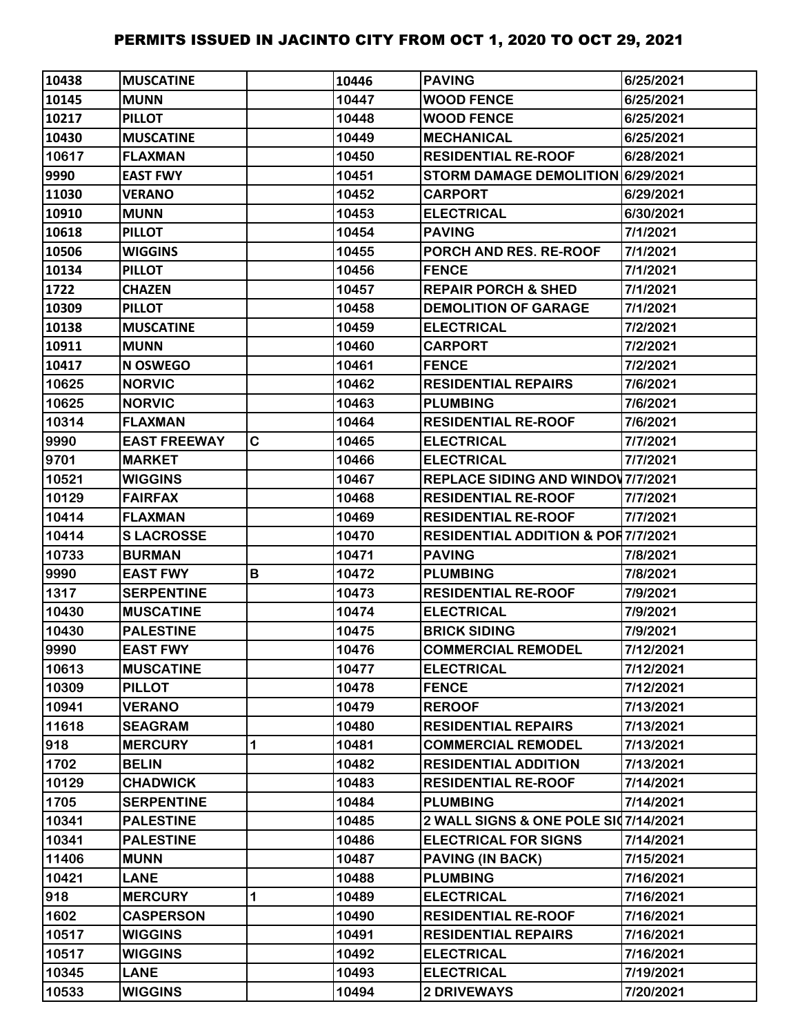| 10438 | <b>MUSCATINE</b>    |   | 10446 | <b>PAVING</b>                                 | 6/25/2021 |
|-------|---------------------|---|-------|-----------------------------------------------|-----------|
| 10145 | <b>MUNN</b>         |   | 10447 | <b>WOOD FENCE</b>                             | 6/25/2021 |
| 10217 | <b>PILLOT</b>       |   | 10448 | <b>WOOD FENCE</b>                             | 6/25/2021 |
| 10430 | <b>MUSCATINE</b>    |   | 10449 | <b>MECHANICAL</b>                             | 6/25/2021 |
| 10617 | <b>FLAXMAN</b>      |   | 10450 | <b>RESIDENTIAL RE-ROOF</b>                    | 6/28/2021 |
| 9990  | <b>EAST FWY</b>     |   | 10451 | STORM DAMAGE DEMOLITION 6/29/2021             |           |
| 11030 | <b>VERANO</b>       |   | 10452 | <b>CARPORT</b>                                | 6/29/2021 |
| 10910 | <b>MUNN</b>         |   | 10453 | <b>ELECTRICAL</b>                             | 6/30/2021 |
| 10618 | <b>PILLOT</b>       |   | 10454 | <b>PAVING</b>                                 | 7/1/2021  |
| 10506 | <b>WIGGINS</b>      |   | 10455 | PORCH AND RES. RE-ROOF                        | 7/1/2021  |
| 10134 | <b>PILLOT</b>       |   | 10456 | <b>FENCE</b>                                  | 7/1/2021  |
| 1722  | <b>CHAZEN</b>       |   | 10457 | <b>REPAIR PORCH &amp; SHED</b>                | 7/1/2021  |
| 10309 | <b>PILLOT</b>       |   | 10458 | <b>DEMOLITION OF GARAGE</b>                   | 7/1/2021  |
| 10138 | <b>MUSCATINE</b>    |   | 10459 | <b>ELECTRICAL</b>                             | 7/2/2021  |
| 10911 | <b>MUNN</b>         |   | 10460 | <b>CARPORT</b>                                | 7/2/2021  |
| 10417 | <b>N OSWEGO</b>     |   | 10461 | <b>FENCE</b>                                  | 7/2/2021  |
| 10625 | <b>NORVIC</b>       |   | 10462 | <b>RESIDENTIAL REPAIRS</b>                    | 7/6/2021  |
| 10625 | <b>NORVIC</b>       |   | 10463 | <b>PLUMBING</b>                               | 7/6/2021  |
| 10314 | <b>FLAXMAN</b>      |   | 10464 | <b>RESIDENTIAL RE-ROOF</b>                    | 7/6/2021  |
| 9990  | <b>EAST FREEWAY</b> | C | 10465 | <b>ELECTRICAL</b>                             | 7/7/2021  |
| 9701  | <b>MARKET</b>       |   | 10466 | <b>ELECTRICAL</b>                             | 7/7/2021  |
| 10521 | <b>WIGGINS</b>      |   | 10467 | <b>REPLACE SIDING AND WINDOV 7/7/2021</b>     |           |
| 10129 | <b>FAIRFAX</b>      |   | 10468 | <b>RESIDENTIAL RE-ROOF</b>                    | 7/7/2021  |
| 10414 | <b>FLAXMAN</b>      |   | 10469 | <b>RESIDENTIAL RE-ROOF</b>                    | 7/7/2021  |
| 10414 | <b>SLACROSSE</b>    |   | 10470 | <b>RESIDENTIAL ADDITION &amp; POR7/7/2021</b> |           |
| 10733 | <b>BURMAN</b>       |   | 10471 | <b>PAVING</b>                                 | 7/8/2021  |
| 9990  | <b>EAST FWY</b>     | В | 10472 | <b>PLUMBING</b>                               | 7/8/2021  |
| 1317  | <b>SERPENTINE</b>   |   | 10473 | <b>RESIDENTIAL RE-ROOF</b>                    | 7/9/2021  |
| 10430 | <b>MUSCATINE</b>    |   | 10474 | <b>ELECTRICAL</b>                             | 7/9/2021  |
| 10430 | <b>PALESTINE</b>    |   | 10475 | <b>BRICK SIDING</b>                           | 7/9/2021  |
| 9990  | <b>EAST FWY</b>     |   | 10476 | <b>COMMERCIAL REMODEL</b>                     | 7/12/2021 |
| 10613 | <b>MUSCATINE</b>    |   | 10477 | <b>ELECTRICAL</b>                             | 7/12/2021 |
| 10309 | <b>PILLOT</b>       |   | 10478 | <b>FENCE</b>                                  | 7/12/2021 |
| 10941 | <b>VERANO</b>       |   | 10479 | <b>REROOF</b>                                 | 7/13/2021 |
| 11618 | <b>SEAGRAM</b>      |   | 10480 | <b>RESIDENTIAL REPAIRS</b>                    | 7/13/2021 |
| 918   | <b>MERCURY</b>      | 1 | 10481 | <b>COMMERCIAL REMODEL</b>                     | 7/13/2021 |
| 1702  | <b>BELIN</b>        |   | 10482 | <b>RESIDENTIAL ADDITION</b>                   | 7/13/2021 |
| 10129 | <b>CHADWICK</b>     |   | 10483 | <b>RESIDENTIAL RE-ROOF</b>                    | 7/14/2021 |
| 1705  | <b>SERPENTINE</b>   |   | 10484 | <b>PLUMBING</b>                               | 7/14/2021 |
| 10341 | <b>PALESTINE</b>    |   | 10485 | 2 WALL SIGNS & ONE POLE SI07/14/2021          |           |
| 10341 | <b>PALESTINE</b>    |   | 10486 | <b>ELECTRICAL FOR SIGNS</b>                   | 7/14/2021 |
| 11406 | <b>MUNN</b>         |   | 10487 | <b>PAVING (IN BACK)</b>                       | 7/15/2021 |
| 10421 | <b>LANE</b>         |   | 10488 | <b>PLUMBING</b>                               | 7/16/2021 |
| 918   | <b>MERCURY</b>      | 1 | 10489 | <b>ELECTRICAL</b>                             | 7/16/2021 |
| 1602  | <b>CASPERSON</b>    |   | 10490 | <b>RESIDENTIAL RE-ROOF</b>                    | 7/16/2021 |
| 10517 | <b>WIGGINS</b>      |   | 10491 | <b>RESIDENTIAL REPAIRS</b>                    | 7/16/2021 |
| 10517 | <b>WIGGINS</b>      |   | 10492 | <b>ELECTRICAL</b>                             | 7/16/2021 |
| 10345 | <b>LANE</b>         |   | 10493 | <b>ELECTRICAL</b>                             | 7/19/2021 |
| 10533 | <b>WIGGINS</b>      |   | 10494 | <b>2 DRIVEWAYS</b>                            | 7/20/2021 |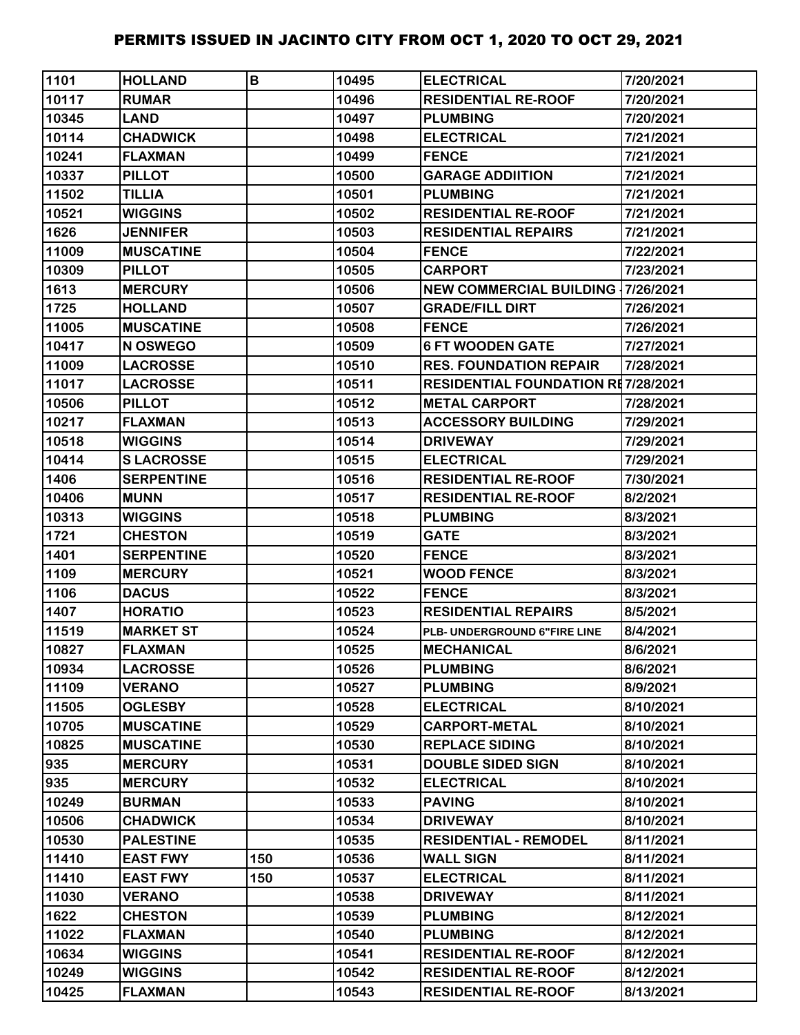| 1101  | <b>HOLLAND</b>    | B   | 10495 | <b>ELECTRICAL</b>                         | 7/20/2021 |
|-------|-------------------|-----|-------|-------------------------------------------|-----------|
| 10117 | <b>RUMAR</b>      |     | 10496 | <b>RESIDENTIAL RE-ROOF</b>                | 7/20/2021 |
| 10345 | <b>LAND</b>       |     | 10497 | <b>PLUMBING</b>                           | 7/20/2021 |
| 10114 | <b>CHADWICK</b>   |     | 10498 | <b>ELECTRICAL</b>                         | 7/21/2021 |
| 10241 | <b>FLAXMAN</b>    |     | 10499 | <b>FENCE</b>                              | 7/21/2021 |
| 10337 | <b>PILLOT</b>     |     | 10500 | <b>GARAGE ADDIITION</b>                   | 7/21/2021 |
| 11502 | <b>TILLIA</b>     |     | 10501 | <b>PLUMBING</b>                           | 7/21/2021 |
| 10521 | <b>WIGGINS</b>    |     | 10502 | <b>RESIDENTIAL RE-ROOF</b>                | 7/21/2021 |
| 1626  | <b>JENNIFER</b>   |     | 10503 | <b>RESIDENTIAL REPAIRS</b>                | 7/21/2021 |
| 11009 | <b>MUSCATINE</b>  |     | 10504 | <b>FENCE</b>                              | 7/22/2021 |
| 10309 | <b>PILLOT</b>     |     | 10505 | <b>CARPORT</b>                            | 7/23/2021 |
| 1613  | <b>MERCURY</b>    |     | 10506 | <b>NEW COMMERCIAL BUILDING 17/26/2021</b> |           |
| 1725  | <b>HOLLAND</b>    |     | 10507 | <b>GRADE/FILL DIRT</b>                    | 7/26/2021 |
| 11005 | <b>MUSCATINE</b>  |     | 10508 | <b>FENCE</b>                              | 7/26/2021 |
| 10417 | N OSWEGO          |     | 10509 | <b>6 FT WOODEN GATE</b>                   | 7/27/2021 |
| 11009 | <b>LACROSSE</b>   |     | 10510 | <b>RES. FOUNDATION REPAIR</b>             | 7/28/2021 |
| 11017 | <b>LACROSSE</b>   |     | 10511 | <b>RESIDENTIAL FOUNDATION RE7/28/2021</b> |           |
| 10506 | <b>PILLOT</b>     |     | 10512 | <b>METAL CARPORT</b>                      | 7/28/2021 |
| 10217 | <b>FLAXMAN</b>    |     | 10513 | <b>ACCESSORY BUILDING</b>                 | 7/29/2021 |
| 10518 | <b>WIGGINS</b>    |     | 10514 | <b>DRIVEWAY</b>                           | 7/29/2021 |
| 10414 | <b>SLACROSSE</b>  |     | 10515 | <b>ELECTRICAL</b>                         | 7/29/2021 |
| 1406  | <b>SERPENTINE</b> |     | 10516 | <b>RESIDENTIAL RE-ROOF</b>                | 7/30/2021 |
| 10406 | <b>MUNN</b>       |     | 10517 | <b>RESIDENTIAL RE-ROOF</b>                | 8/2/2021  |
| 10313 | <b>WIGGINS</b>    |     | 10518 | <b>PLUMBING</b>                           | 8/3/2021  |
| 1721  | <b>CHESTON</b>    |     | 10519 | <b>GATE</b>                               | 8/3/2021  |
| 1401  | <b>SERPENTINE</b> |     | 10520 | <b>FENCE</b>                              | 8/3/2021  |
| 1109  | <b>MERCURY</b>    |     | 10521 | <b>WOOD FENCE</b>                         | 8/3/2021  |
| 1106  | <b>DACUS</b>      |     | 10522 | <b>FENCE</b>                              | 8/3/2021  |
| 1407  | <b>HORATIO</b>    |     | 10523 | <b>RESIDENTIAL REPAIRS</b>                | 8/5/2021  |
| 11519 | <b>MARKET ST</b>  |     | 10524 | PLB- UNDERGROUND 6"FIRE LINE              | 8/4/2021  |
| 10827 | <b>FLAXMAN</b>    |     | 10525 | <b>IMECHANICAL</b>                        | 8/6/2021  |
| 10934 | <b>LACROSSE</b>   |     | 10526 | <b>PLUMBING</b>                           | 8/6/2021  |
| 11109 | <b>VERANO</b>     |     | 10527 | <b>PLUMBING</b>                           | 8/9/2021  |
| 11505 | <b>OGLESBY</b>    |     | 10528 | <b>ELECTRICAL</b>                         | 8/10/2021 |
| 10705 | <b>MUSCATINE</b>  |     | 10529 | <b>CARPORT-METAL</b>                      | 8/10/2021 |
| 10825 | <b>MUSCATINE</b>  |     | 10530 | <b>REPLACE SIDING</b>                     | 8/10/2021 |
| 935   | <b>MERCURY</b>    |     | 10531 | <b>DOUBLE SIDED SIGN</b>                  | 8/10/2021 |
| 935   | <b>MERCURY</b>    |     | 10532 | <b>ELECTRICAL</b>                         | 8/10/2021 |
| 10249 | <b>BURMAN</b>     |     | 10533 | <b>PAVING</b>                             | 8/10/2021 |
| 10506 | <b>CHADWICK</b>   |     | 10534 | <b>DRIVEWAY</b>                           | 8/10/2021 |
| 10530 | <b>PALESTINE</b>  |     | 10535 | <b>RESIDENTIAL - REMODEL</b>              | 8/11/2021 |
| 11410 | <b>EAST FWY</b>   | 150 | 10536 | <b>WALL SIGN</b>                          | 8/11/2021 |
| 11410 | <b>EAST FWY</b>   | 150 | 10537 | <b>ELECTRICAL</b>                         | 8/11/2021 |
| 11030 | <b>VERANO</b>     |     | 10538 | <b>DRIVEWAY</b>                           | 8/11/2021 |
| 1622  | <b>CHESTON</b>    |     | 10539 | <b>PLUMBING</b>                           | 8/12/2021 |
| 11022 | <b>FLAXMAN</b>    |     | 10540 | <b>PLUMBING</b>                           | 8/12/2021 |
| 10634 | <b>WIGGINS</b>    |     | 10541 | <b>RESIDENTIAL RE-ROOF</b>                | 8/12/2021 |
| 10249 | <b>WIGGINS</b>    |     | 10542 | <b>RESIDENTIAL RE-ROOF</b>                | 8/12/2021 |
| 10425 | <b>FLAXMAN</b>    |     | 10543 | <b>RESIDENTIAL RE-ROOF</b>                | 8/13/2021 |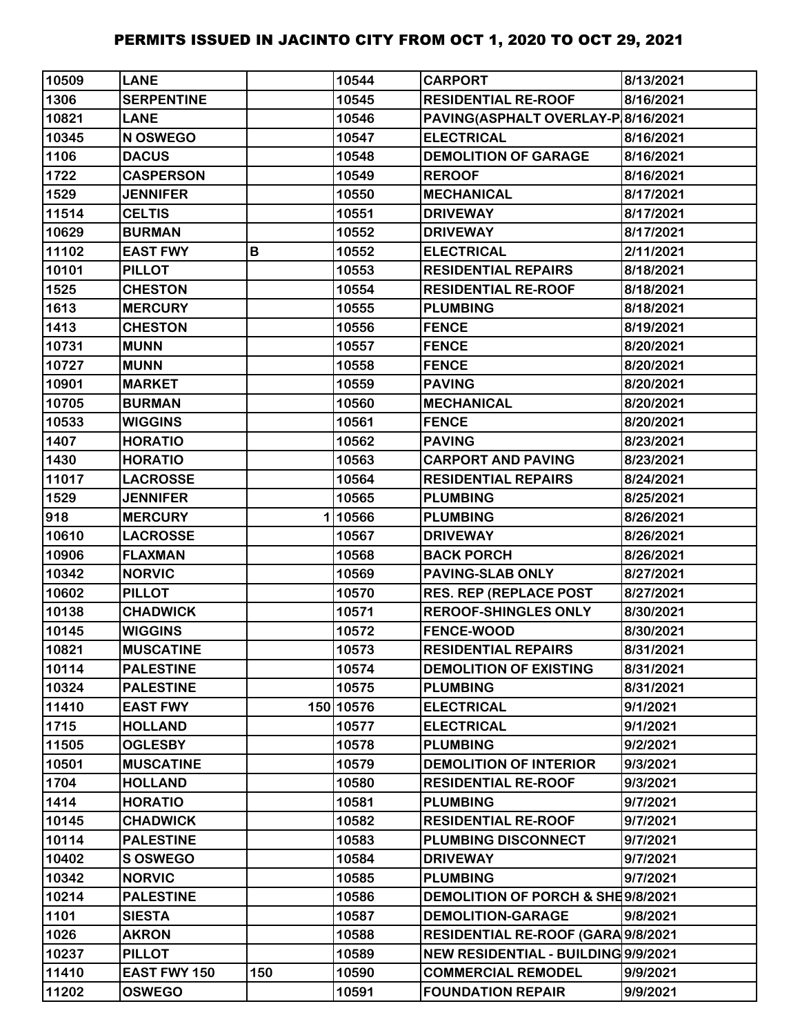| 10509 | <b>LANE</b>         |     | 10544     | <b>CARPORT</b>                      | 8/13/2021 |
|-------|---------------------|-----|-----------|-------------------------------------|-----------|
| 1306  | <b>SERPENTINE</b>   |     | 10545     | <b>RESIDENTIAL RE-ROOF</b>          | 8/16/2021 |
| 10821 | <b>LANE</b>         |     | 10546     | PAVING(ASPHALT OVERLAY-P 8/16/2021  |           |
| 10345 | N OSWEGO            |     | 10547     | <b>ELECTRICAL</b>                   | 8/16/2021 |
| 1106  | <b>DACUS</b>        |     | 10548     | <b>DEMOLITION OF GARAGE</b>         | 8/16/2021 |
| 1722  | <b>CASPERSON</b>    |     | 10549     | <b>REROOF</b>                       | 8/16/2021 |
| 1529  | <b>JENNIFER</b>     |     | 10550     | <b>MECHANICAL</b>                   | 8/17/2021 |
| 11514 | <b>CELTIS</b>       |     | 10551     | <b>DRIVEWAY</b>                     | 8/17/2021 |
| 10629 | <b>BURMAN</b>       |     | 10552     | <b>DRIVEWAY</b>                     | 8/17/2021 |
| 11102 | <b>EAST FWY</b>     | В   | 10552     | <b>ELECTRICAL</b>                   | 2/11/2021 |
| 10101 | <b>PILLOT</b>       |     | 10553     | <b>RESIDENTIAL REPAIRS</b>          | 8/18/2021 |
| 1525  | <b>CHESTON</b>      |     | 10554     | <b>RESIDENTIAL RE-ROOF</b>          | 8/18/2021 |
| 1613  | <b>MERCURY</b>      |     | 10555     | <b>PLUMBING</b>                     | 8/18/2021 |
| 1413  | <b>CHESTON</b>      |     | 10556     | <b>FENCE</b>                        | 8/19/2021 |
| 10731 | <b>MUNN</b>         |     | 10557     | <b>FENCE</b>                        | 8/20/2021 |
| 10727 | <b>MUNN</b>         |     | 10558     | <b>FENCE</b>                        | 8/20/2021 |
| 10901 | <b>MARKET</b>       |     | 10559     | <b>PAVING</b>                       | 8/20/2021 |
| 10705 | <b>BURMAN</b>       |     | 10560     | <b>MECHANICAL</b>                   | 8/20/2021 |
| 10533 | <b>WIGGINS</b>      |     | 10561     | <b>FENCE</b>                        | 8/20/2021 |
| 1407  | <b>HORATIO</b>      |     | 10562     | <b>PAVING</b>                       | 8/23/2021 |
| 1430  | <b>HORATIO</b>      |     | 10563     | <b>CARPORT AND PAVING</b>           | 8/23/2021 |
| 11017 | <b>LACROSSE</b>     |     | 10564     | <b>RESIDENTIAL REPAIRS</b>          | 8/24/2021 |
| 1529  | <b>JENNIFER</b>     |     | 10565     | <b>PLUMBING</b>                     | 8/25/2021 |
| 918   | <b>MERCURY</b>      |     | 110566    | <b>PLUMBING</b>                     | 8/26/2021 |
| 10610 | <b>LACROSSE</b>     |     | 10567     | <b>DRIVEWAY</b>                     | 8/26/2021 |
| 10906 | <b>FLAXMAN</b>      |     | 10568     | <b>BACK PORCH</b>                   | 8/26/2021 |
| 10342 | <b>NORVIC</b>       |     | 10569     | <b>PAVING-SLAB ONLY</b>             | 8/27/2021 |
| 10602 | <b>PILLOT</b>       |     | 10570     | <b>RES. REP (REPLACE POST</b>       | 8/27/2021 |
| 10138 | <b>CHADWICK</b>     |     | 10571     | <b>REROOF-SHINGLES ONLY</b>         | 8/30/2021 |
| 10145 | <b>WIGGINS</b>      |     | 10572     | <b>FENCE-WOOD</b>                   | 8/30/2021 |
| 10821 | <b>MUSCATINE</b>    |     | 10573     | <b>RESIDENTIAL REPAIRS</b>          | 8/31/2021 |
| 10114 | <b>PALESTINE</b>    |     | 10574     | <b>DEMOLITION OF EXISTING</b>       | 8/31/2021 |
| 10324 | <b>PALESTINE</b>    |     | 10575     | <b>PLUMBING</b>                     | 8/31/2021 |
| 11410 | <b>EAST FWY</b>     |     | 150 10576 | <b>ELECTRICAL</b>                   | 9/1/2021  |
| 1715  | <b>HOLLAND</b>      |     | 10577     | <b>ELECTRICAL</b>                   | 9/1/2021  |
| 11505 | <b>OGLESBY</b>      |     | 10578     | <b>PLUMBING</b>                     | 9/2/2021  |
| 10501 | <b>MUSCATINE</b>    |     | 10579     | <b>DEMOLITION OF INTERIOR</b>       | 9/3/2021  |
| 1704  | <b>HOLLAND</b>      |     | 10580     | <b>RESIDENTIAL RE-ROOF</b>          | 9/3/2021  |
| 1414  | <b>HORATIO</b>      |     | 10581     | <b>PLUMBING</b>                     | 9/7/2021  |
| 10145 | <b>CHADWICK</b>     |     | 10582     | <b>RESIDENTIAL RE-ROOF</b>          | 9/7/2021  |
| 10114 | <b>PALESTINE</b>    |     | 10583     | PLUMBING DISCONNECT                 | 9/7/2021  |
| 10402 | <b>S OSWEGO</b>     |     | 10584     | <b>DRIVEWAY</b>                     | 9/7/2021  |
| 10342 | <b>NORVIC</b>       |     | 10585     | <b>PLUMBING</b>                     | 9/7/2021  |
| 10214 | <b>PALESTINE</b>    |     | 10586     | DEMOLITION OF PORCH & SHE9/8/2021   |           |
| 1101  | <b>SIESTA</b>       |     | 10587     | <b>DEMOLITION-GARAGE</b>            | 9/8/2021  |
| 1026  | <b>AKRON</b>        |     | 10588     | RESIDENTIAL RE-ROOF (GARA 9/8/2021  |           |
| 10237 | <b>PILLOT</b>       |     | 10589     | NEW RESIDENTIAL - BUILDING 9/9/2021 |           |
| 11410 | <b>EAST FWY 150</b> | 150 | 10590     | <b>COMMERCIAL REMODEL</b>           | 9/9/2021  |
| 11202 | <b>OSWEGO</b>       |     | 10591     | <b>FOUNDATION REPAIR</b>            | 9/9/2021  |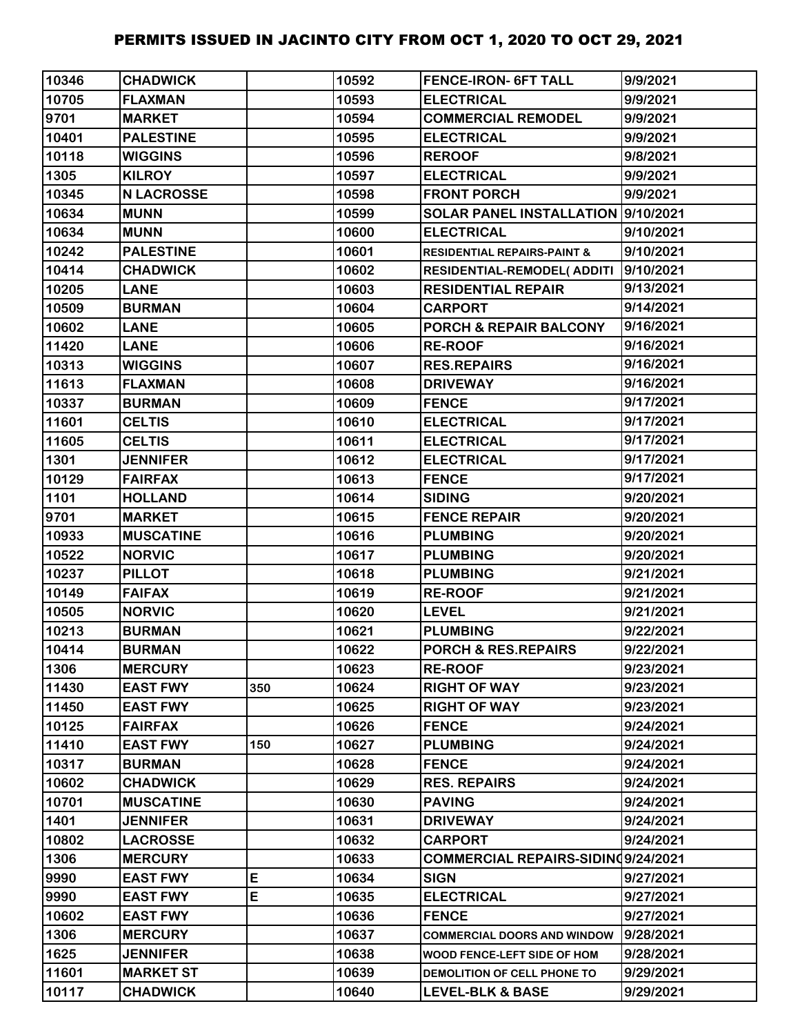| 10346 | <b>CHADWICK</b>   |     | 10592 | <b>FENCE-IRON- 6FT TALL</b>            | 9/9/2021  |
|-------|-------------------|-----|-------|----------------------------------------|-----------|
| 10705 | <b>FLAXMAN</b>    |     | 10593 | <b>ELECTRICAL</b>                      | 9/9/2021  |
| 9701  | <b>MARKET</b>     |     | 10594 | <b>COMMERCIAL REMODEL</b>              | 9/9/2021  |
| 10401 | <b>PALESTINE</b>  |     | 10595 | <b>ELECTRICAL</b>                      | 9/9/2021  |
| 10118 | <b>WIGGINS</b>    |     | 10596 | <b>REROOF</b>                          | 9/8/2021  |
| 1305  | <b>KILROY</b>     |     | 10597 | <b>ELECTRICAL</b>                      | 9/9/2021  |
| 10345 | <b>N LACROSSE</b> |     | 10598 | <b>FRONT PORCH</b>                     | 9/9/2021  |
| 10634 | <b>MUNN</b>       |     | 10599 | SOLAR PANEL INSTALLATION  9/10/2021    |           |
| 10634 | <b>MUNN</b>       |     | 10600 | <b>ELECTRICAL</b>                      | 9/10/2021 |
| 10242 | <b>PALESTINE</b>  |     | 10601 | <b>RESIDENTIAL REPAIRS-PAINT &amp;</b> | 9/10/2021 |
| 10414 | <b>CHADWICK</b>   |     | 10602 | RESIDENTIAL-REMODEL(ADDITI             | 9/10/2021 |
| 10205 | <b>LANE</b>       |     | 10603 | <b>RESIDENTIAL REPAIR</b>              | 9/13/2021 |
| 10509 | <b>BURMAN</b>     |     | 10604 | <b>CARPORT</b>                         | 9/14/2021 |
| 10602 | <b>LANE</b>       |     | 10605 | <b>PORCH &amp; REPAIR BALCONY</b>      | 9/16/2021 |
| 11420 | <b>LANE</b>       |     | 10606 | <b>RE-ROOF</b>                         | 9/16/2021 |
| 10313 | <b>WIGGINS</b>    |     | 10607 | <b>RES.REPAIRS</b>                     | 9/16/2021 |
| 11613 | <b>FLAXMAN</b>    |     | 10608 | <b>DRIVEWAY</b>                        | 9/16/2021 |
| 10337 | <b>BURMAN</b>     |     | 10609 | <b>FENCE</b>                           | 9/17/2021 |
| 11601 | <b>CELTIS</b>     |     | 10610 | <b>ELECTRICAL</b>                      | 9/17/2021 |
| 11605 | <b>CELTIS</b>     |     | 10611 | <b>ELECTRICAL</b>                      | 9/17/2021 |
| 1301  | <b>JENNIFER</b>   |     | 10612 | <b>ELECTRICAL</b>                      | 9/17/2021 |
| 10129 | <b>FAIRFAX</b>    |     | 10613 | <b>FENCE</b>                           | 9/17/2021 |
| 1101  | <b>HOLLAND</b>    |     | 10614 | <b>SIDING</b>                          | 9/20/2021 |
| 9701  | <b>MARKET</b>     |     | 10615 | <b>FENCE REPAIR</b>                    | 9/20/2021 |
| 10933 | <b>MUSCATINE</b>  |     | 10616 | <b>PLUMBING</b>                        | 9/20/2021 |
| 10522 | <b>NORVIC</b>     |     | 10617 | <b>PLUMBING</b>                        | 9/20/2021 |
| 10237 | <b>PILLOT</b>     |     | 10618 | <b>PLUMBING</b>                        | 9/21/2021 |
| 10149 | <b>FAIFAX</b>     |     | 10619 | <b>RE-ROOF</b>                         | 9/21/2021 |
| 10505 | <b>NORVIC</b>     |     | 10620 | <b>LEVEL</b>                           | 9/21/2021 |
| 10213 | <b>BURMAN</b>     |     | 10621 | <b>PLUMBING</b>                        | 9/22/2021 |
| 10414 | <b>BURMAN</b>     |     | 10622 | PORCH & RES.REPAIRS                    | 9/22/2021 |
| 1306  | <b>MERCURY</b>    |     | 10623 | <b>RE-ROOF</b>                         | 9/23/2021 |
| 11430 | <b>EAST FWY</b>   | 350 | 10624 | <b>RIGHT OF WAY</b>                    | 9/23/2021 |
| 11450 | <b>EAST FWY</b>   |     | 10625 | <b>RIGHT OF WAY</b>                    | 9/23/2021 |
| 10125 | <b>FAIRFAX</b>    |     | 10626 | <b>FENCE</b>                           | 9/24/2021 |
| 11410 | <b>EAST FWY</b>   | 150 | 10627 | <b>PLUMBING</b>                        | 9/24/2021 |
| 10317 | <b>BURMAN</b>     |     | 10628 | <b>FENCE</b>                           | 9/24/2021 |
| 10602 | <b>CHADWICK</b>   |     | 10629 | <b>RES. REPAIRS</b>                    | 9/24/2021 |
| 10701 | <b>MUSCATINE</b>  |     | 10630 | <b>PAVING</b>                          | 9/24/2021 |
| 1401  | <b>JENNIFER</b>   |     | 10631 | <b>DRIVEWAY</b>                        | 9/24/2021 |
| 10802 | <b>LACROSSE</b>   |     | 10632 | <b>CARPORT</b>                         | 9/24/2021 |
| 1306  | <b>MERCURY</b>    |     | 10633 | COMMERCIAL REPAIRS-SIDINQ9/24/2021     |           |
| 9990  | <b>EAST FWY</b>   | E   | 10634 | <b>SIGN</b>                            | 9/27/2021 |
| 9990  | <b>EAST FWY</b>   | E   | 10635 | <b>ELECTRICAL</b>                      | 9/27/2021 |
| 10602 | <b>EAST FWY</b>   |     | 10636 | <b>FENCE</b>                           | 9/27/2021 |
| 1306  | <b>MERCURY</b>    |     | 10637 | <b>COMMERCIAL DOORS AND WINDOW</b>     | 9/28/2021 |
| 1625  | <b>JENNIFER</b>   |     | 10638 | WOOD FENCE-LEFT SIDE OF HOM            | 9/28/2021 |
| 11601 | <b>MARKET ST</b>  |     | 10639 | DEMOLITION OF CELL PHONE TO            | 9/29/2021 |
| 10117 | <b>CHADWICK</b>   |     | 10640 | <b>LEVEL-BLK &amp; BASE</b>            | 9/29/2021 |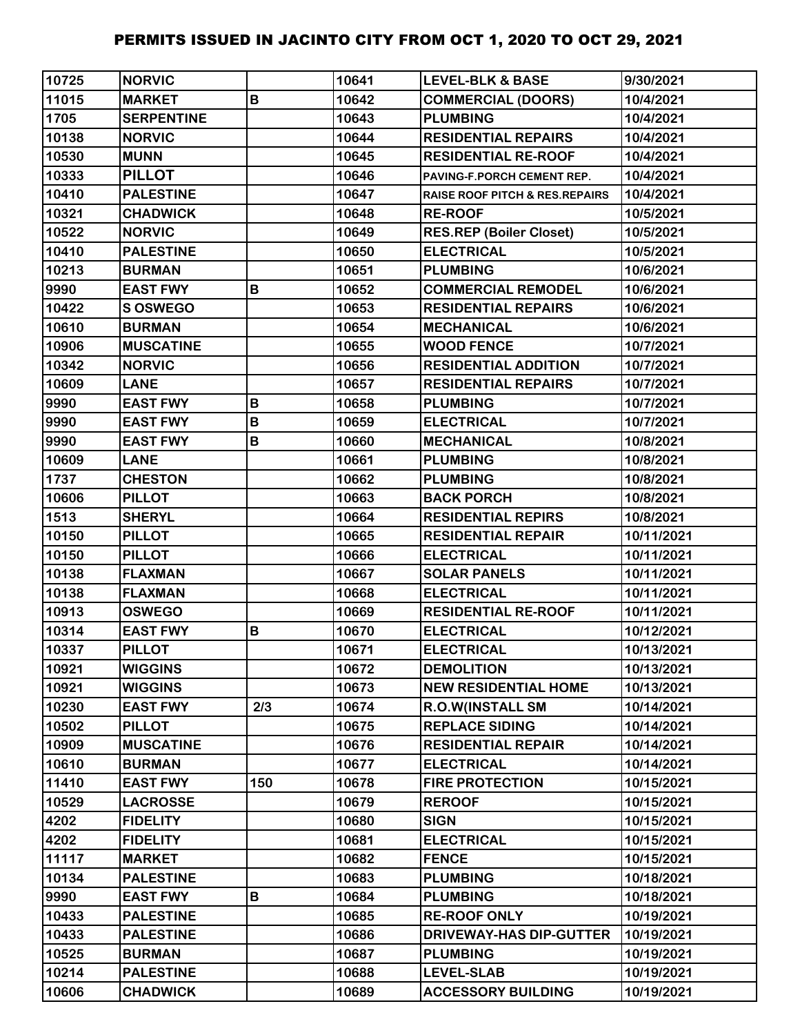| 10725 | <b>NORVIC</b>     |     | 10641 | <b>LEVEL-BLK &amp; BASE</b>               | 9/30/2021  |
|-------|-------------------|-----|-------|-------------------------------------------|------------|
| 11015 | <b>MARKET</b>     | B   | 10642 | <b>COMMERCIAL (DOORS)</b>                 | 10/4/2021  |
| 1705  | <b>SERPENTINE</b> |     | 10643 | <b>PLUMBING</b>                           | 10/4/2021  |
| 10138 | <b>NORVIC</b>     |     | 10644 | <b>RESIDENTIAL REPAIRS</b>                | 10/4/2021  |
| 10530 | <b>MUNN</b>       |     | 10645 | <b>RESIDENTIAL RE-ROOF</b>                | 10/4/2021  |
| 10333 | <b>PILLOT</b>     |     | 10646 | PAVING-F.PORCH CEMENT REP.                | 10/4/2021  |
| 10410 | <b>PALESTINE</b>  |     | 10647 | <b>RAISE ROOF PITCH &amp; RES.REPAIRS</b> | 10/4/2021  |
| 10321 | <b>CHADWICK</b>   |     | 10648 | <b>RE-ROOF</b>                            | 10/5/2021  |
| 10522 | <b>NORVIC</b>     |     | 10649 | <b>RES.REP (Boiler Closet)</b>            | 10/5/2021  |
| 10410 | <b>PALESTINE</b>  |     | 10650 | <b>ELECTRICAL</b>                         | 10/5/2021  |
| 10213 | <b>BURMAN</b>     |     | 10651 | <b>PLUMBING</b>                           | 10/6/2021  |
| 9990  | <b>EAST FWY</b>   | B   | 10652 | <b>COMMERCIAL REMODEL</b>                 | 10/6/2021  |
| 10422 | S OSWEGO          |     | 10653 | <b>RESIDENTIAL REPAIRS</b>                | 10/6/2021  |
| 10610 | <b>BURMAN</b>     |     | 10654 | <b>MECHANICAL</b>                         | 10/6/2021  |
| 10906 | <b>MUSCATINE</b>  |     | 10655 | <b>WOOD FENCE</b>                         | 10/7/2021  |
| 10342 | <b>NORVIC</b>     |     | 10656 | <b>RESIDENTIAL ADDITION</b>               | 10/7/2021  |
| 10609 | <b>LANE</b>       |     | 10657 | <b>RESIDENTIAL REPAIRS</b>                | 10/7/2021  |
| 9990  | <b>EAST FWY</b>   | B   | 10658 | <b>PLUMBING</b>                           | 10/7/2021  |
| 9990  | <b>EAST FWY</b>   | B   | 10659 | <b>ELECTRICAL</b>                         | 10/7/2021  |
| 9990  | <b>EAST FWY</b>   | B   | 10660 | <b>MECHANICAL</b>                         | 10/8/2021  |
| 10609 | <b>LANE</b>       |     | 10661 | <b>PLUMBING</b>                           | 10/8/2021  |
| 1737  | <b>CHESTON</b>    |     | 10662 | <b>PLUMBING</b>                           | 10/8/2021  |
| 10606 | <b>PILLOT</b>     |     | 10663 | <b>BACK PORCH</b>                         | 10/8/2021  |
| 1513  | <b>SHERYL</b>     |     | 10664 | <b>RESIDENTIAL REPIRS</b>                 | 10/8/2021  |
| 10150 | <b>PILLOT</b>     |     | 10665 | <b>RESIDENTIAL REPAIR</b>                 | 10/11/2021 |
| 10150 | <b>PILLOT</b>     |     | 10666 | <b>ELECTRICAL</b>                         | 10/11/2021 |
| 10138 | <b>FLAXMAN</b>    |     | 10667 | <b>SOLAR PANELS</b>                       | 10/11/2021 |
| 10138 | <b>FLAXMAN</b>    |     | 10668 | <b>ELECTRICAL</b>                         | 10/11/2021 |
| 10913 | <b>OSWEGO</b>     |     | 10669 | <b>RESIDENTIAL RE-ROOF</b>                | 10/11/2021 |
| 10314 | <b>EAST FWY</b>   | B   | 10670 | <b>ELECTRICAL</b>                         | 10/12/2021 |
| 10337 | <b>PILLOT</b>     |     | 10671 | <b>ELECTRICAL</b>                         | 10/13/2021 |
| 10921 | <b>WIGGINS</b>    |     | 10672 | <b>DEMOLITION</b>                         | 10/13/2021 |
| 10921 | <b>WIGGINS</b>    |     | 10673 | <b>NEW RESIDENTIAL HOME</b>               | 10/13/2021 |
| 10230 | <b>EAST FWY</b>   | 2/3 | 10674 | <b>R.O.W(INSTALL SM</b>                   | 10/14/2021 |
| 10502 | <b>PILLOT</b>     |     | 10675 | <b>REPLACE SIDING</b>                     | 10/14/2021 |
| 10909 | <b>MUSCATINE</b>  |     | 10676 | <b>RESIDENTIAL REPAIR</b>                 | 10/14/2021 |
| 10610 | <b>BURMAN</b>     |     | 10677 | <b>ELECTRICAL</b>                         | 10/14/2021 |
| 11410 | <b>EAST FWY</b>   | 150 | 10678 | <b>FIRE PROTECTION</b>                    | 10/15/2021 |
| 10529 | <b>LACROSSE</b>   |     | 10679 | <b>REROOF</b>                             | 10/15/2021 |
| 4202  | <b>FIDELITY</b>   |     | 10680 | <b>SIGN</b>                               | 10/15/2021 |
| 4202  | <b>FIDELITY</b>   |     | 10681 | <b>ELECTRICAL</b>                         | 10/15/2021 |
| 11117 | <b>MARKET</b>     |     | 10682 | <b>FENCE</b>                              | 10/15/2021 |
| 10134 | <b>PALESTINE</b>  |     | 10683 | <b>PLUMBING</b>                           | 10/18/2021 |
| 9990  | <b>EAST FWY</b>   | В   | 10684 | <b>PLUMBING</b>                           | 10/18/2021 |
| 10433 | <b>PALESTINE</b>  |     | 10685 | <b>RE-ROOF ONLY</b>                       | 10/19/2021 |
| 10433 | <b>PALESTINE</b>  |     | 10686 | <b>DRIVEWAY-HAS DIP-GUTTER</b>            | 10/19/2021 |
| 10525 | <b>BURMAN</b>     |     | 10687 | <b>PLUMBING</b>                           | 10/19/2021 |
| 10214 | <b>PALESTINE</b>  |     | 10688 | <b>LEVEL-SLAB</b>                         | 10/19/2021 |
| 10606 | <b>CHADWICK</b>   |     | 10689 | <b>ACCESSORY BUILDING</b>                 | 10/19/2021 |